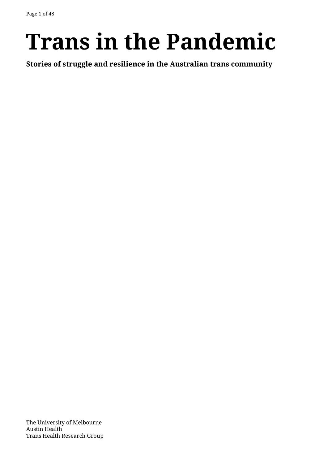# **Trans in the Pandemic**

**Stories of struggle and resilience in the Australian trans community**

The University of Melbourne Austin Health Trans Health Research Group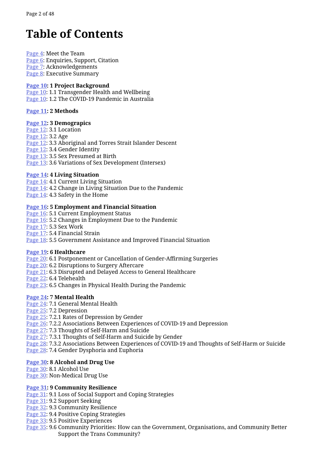## **Table of Contents**

[Page 4](#page-3-0): Meet the Team [Page 6](#page-5-0): Enquiries, Support, Citation [Page 7](#page-6-0): Acknowledgements [Page 8](#page-7-0): Executive Summary

#### **[Page 10](#page-9-0): 1 Project Background**

[Page 10:](#page-9-0) 1.1 Transgender Health and Wellbeing [Page 10:](#page-9-0) 1.2 The COVID-19 Pandemic in Australia

#### **[Page 11](#page-10-0): 2 Methods**

#### **[Page 12](#page-11-0): 3 Demograpics**

[Page 12:](#page-11-0) 3.1 Location [Page 12:](#page-11-0) 3.2 Age [Page 12:](#page-11-0) 3.3 Aboriginal and Torres Strait Islander Descent [Page 12:](#page-11-0) 3.4 Gender Identity [Page 13:](#page-12-0) 3.5 Sex Presumed at Birth [Page 13:](#page-12-0) 3.6 Variations of Sex Development (Intersex)

#### **[Page 14](#page-13-0): 4 Living Situation**

[Page 14:](#page-13-0) 4.1 Current Living Situation [Page 14:](#page-13-0) 4.2 Change in Living Situation Due to the Pandemic [Page 14:](#page-13-0) 4.3 Safety in the Home

#### **[Page 1](#page-15-0)6: 5 Employment and Financial Situation**

[Page 1](#page-15-0)6: 5.1 Current Employment Status [Page 1](#page-15-0)6: 5.2 Changes in Employment Due to the Pandemic [Page 1](#page-16-0)7: 5.3 Sex Work [Page 1](#page-16-0)7: 5.4 Financial Strain [Page 1](#page-17-0)8: 5.5 Government Assistance and Improved Financial Situation

#### **[Page 1](#page-18-0)9: 6 Healthcare**

[Page 2](#page-19-0)0: 6.1 Postponement or Cancellation of Gender-Affirming Surgeries

[Page 2](#page-19-0)0: 6.2 Disruptions to Surgery Aftercare

[Page 2](#page-20-0)1: 6.3 Disrupted and Delayed Access to General Healthcare

[Page 2](#page-21-0)2: 6.4 Telehealth

[Page 2](#page-22-0)3: 6.5 Changes in Physical Health During the Pandemic

#### **[Page 2](#page-23-0)4: 7 Mental Health**

[Page 2](#page-23-0)4: 7.1 General Mental Health

[Page 2](#page-24-0)5: 7.2 Depression

[Page 2](#page-24-0)5: 7.2.1 Rates of Depression by Gender

[Page 2](#page-25-0)6: 7.2.2 Associations Between Experiences of COVID-19 and Depression

[Page 2](#page-26-0)7: 7.3 Thoughts of Self-Harm and Suicide

[Page 2](#page-26-0)7: 7.3.1 Thoughts of Self-Harm and Suicide by Gender

[Page 2](#page-27-0)8: 7.3.2 Associations Between Experiences of COVID-19 and Thoughts of Self-Harm or Suicide [Page 2](#page-27-0)8: 7.4 Gender Dysphoria and Euphoria

#### **[Page 3](#page-29-0)0: 8 Alcohol and Drug Use**

[Page 3](#page-29-0)0: 8.1 Alcohol Use

[Page 3](#page-29-0)0: Non-Medical Drug Use

#### **[Page 3](#page-30-0)1: 9 Community Resilience**

[Page 3](#page-30-0)1: 9.1 Loss of Social Support and Coping Strategies

[Page 3](#page-30-0)1: 9.2 Support Seeking

[Page 3](#page-31-0)2: 9.3 Community Resilience

[Page 3](#page-31-0)2: 9.4 Positive Coping Strategies

[Page 3](#page-32-0)3: 9.5 Positive Experiences

[Page 3](#page-34-0)5: 9.6 Community Priorities: How can the Government, Organisations, and Community Better Support the Trans Community?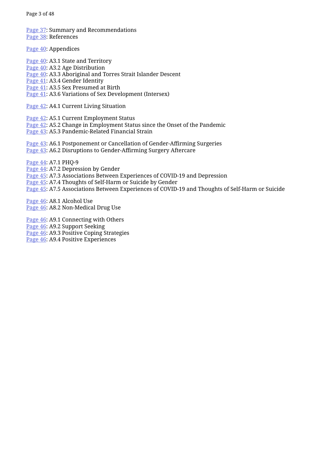[Page 3](#page-36-0)7: Summary and Recommendations [Page 3](#page-37-0)8: References

[Page 4](#page-39-0)0: Appendices

[Page 4](#page-39-0)0: A3.1 State and Territory [Page 4](#page-39-0)0: A3.2 Age Distribution [Page 4](#page-39-0)0: A3.3 Aboriginal and Torres Strait Islander Descent [Page 4](#page-40-0)1: A3.4 Gender Identity [Page 4](#page-40-0)1: A3.5 Sex Presumed at Birth [Page 4](#page-40-0)1: A3.6 Variations of Sex Development (Intersex)

[Page 4](#page-41-0)2: A4.1 Current Living Situation

[Page 4](#page-41-0)2: A5.1 Current Employment Status

[Page 4](#page-41-0)2: A5.2 Change in Employment Status since the Onset of the Pandemic

[Page 4](#page-42-0)3: A5.3 Pandemic-Related Financial Strain

[Page 4](#page-42-0)3: A6.1 Postponement or Cancellation of Gender-Affirming Surgeries [Page 4](#page-42-0)3: A6.2 Disruptions to Gender-Affirming Surgery Aftercare

[Page 4](#page-43-0)4: A7.1 PHQ-9

[Page 4](#page-43-0)4: A7.2 Depression by Gender

[Page 4](#page-44-0)5: A7.3 Associations Between Experiences of COVID-19 and Depression

[Page 4](#page-44-0)5: A7.4 Thoughts of Self-Harm or Suicide by Gender

[Page 4](#page-44-0)5: A7.5 Associations Between Experiences of COVID-19 and Thoughts of Self-Harm or Suicide

[Page 4](#page-45-0)6: A8.1 Alcohol Use [Page 4](#page-45-0)6: A8.2 Non-Medical Drug Use

[Page 4](#page-45-0)6: A9.1 Connecting with Others [Page 4](#page-45-0)6: A9.2 Support Seeking [Page 4](#page-46-0)6: A9.3 Positive Coping Strategies [Page 4](#page-46-0)6: A9.4 Positive Experiences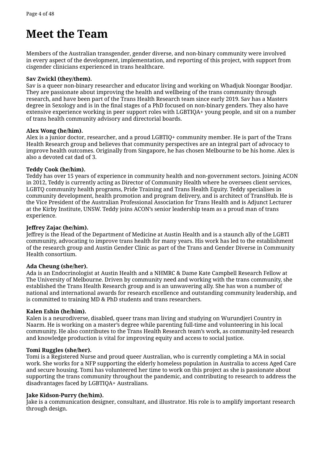### <span id="page-3-0"></span>**Meet the Team**

Members of the Australian transgender, gender diverse, and non-binary community were involved in every aspect of the development, implementation, and reporting of this project, with support from cisgender clinicians experienced in trans healthcare.

#### **Sav Zwickl (they/them).**

Sav is a queer non-binary researcher and educator living and working on Whadjuk Noongar Boodjar. They are passionate about improving the health and wellbeing of the trans community through research, and have been part of the Trans Health Research team since early 2019. Sav has a Masters degree in Sexology and is in the final stages of a PhD focused on non-binary genders. They also have extensive experience working in peer support roles with LGBTIQA+ young people, and sit on a number of trans health community advisory and directorial boards.

#### **Alex Wong (he/him).**

Alex is a junior doctor, researcher, and a proud LGBTIQ+ community member. He is part of the Trans Health Research group and believes that community perspectives are an integral part of advocacy to improve health outcomes. Originally from Singapore, he has chosen Melbourne to be his home. Alex is also a devoted cat dad of 3.

#### **Teddy Cook (he/him).**

Teddy has over 15 years of experience in community health and non-government sectors. Joining ACON in 2012, Teddy is currently acting as Director of Community Health where he oversees client services, LGBTQ community health programs, Pride Training and Trans Health Equity. Teddy specialises in community development, health promotion and program delivery, and is architect of TransHub. He is the Vice President of the Australian Professional Association for Trans Health and is Adjunct Lecturer at the Kirby Institute, UNSW. Teddy joins ACON's senior leadership team as a proud man of trans experience.

#### **Jeffrey Zajac (he/him).**

Jeffrey is the Head of the Department of Medicine at Austin Health and is a staunch ally of the LGBTI community, advocating to improve trans health for many years. His work has led to the establishment of the research group and Austin Gender Clinic as part of the Trans and Gender Diverse in Community Health consortium.

#### **Ada Cheung (she/her).**

Ada is an Endocrinologist at Austin Health and a NHMRC & Dame Kate Campbell Research Fellow at The University of Melbourne. Driven by community need and working with the trans community, she established the Trans Health Research group and is an unwavering ally. She has won a number of national and international awards for research excellence and outstanding community leadership, and is committed to training MD & PhD students and trans researchers.

#### **Kalen Eshin (he/him).**

Kalen is a neurodiverse, disabled, queer trans man living and studying on Wurundjeri Country in Naarm. He is working on a master's degree while parenting full-time and volunteering in his local community. He also contributes to the Trans Health Research team's work, as community-led research and knowledge production is vital for improving equity and access to social justice.

#### **Tomi Ruggles (she/her).**

Tomi is a Registered Nurse and proud queer Australian, who is currently completing a MA in social work. She works for a NFP supporting the elderly homeless population in Australia to access Aged Care and secure housing. Tomi has volunteered her time to work on this project as she is passionate about supporting the trans community throughout the pandemic, and contributing to research to address the disadvantages faced by LGBTIQA+ Australians.

#### **Jake Kidson-Purry (he/him).**

Jake is a communication designer, consultant, and illustrator. His role is to amplify important research through design.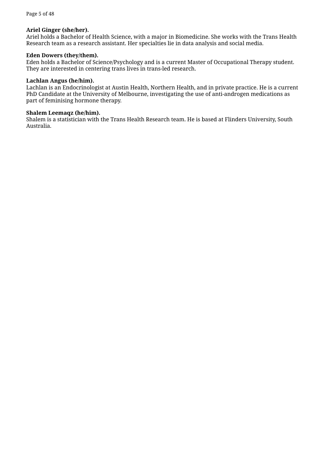#### **Ariel Ginger (she/her).**

Ariel holds a Bachelor of Health Science, with a major in Biomedicine. She works with the Trans Health Research team as a research assistant. Her specialties lie in data analysis and social media.

#### **Eden Dowers (they/them).**

Eden holds a Bachelor of Science/Psychology and is a current Master of Occupational Therapy student. They are interested in centering trans lives in trans-led research.

#### **Lachlan Angus (he/him).**

Lachlan is an Endocrinologist at Austin Health, Northern Health, and in private practice. He is a current PhD Candidate at the University of Melbourne, investigating the use of anti-androgen medications as part of feminising hormone therapy.

#### **Shalem Leemaqz (he/him).**

Shalem is a statistician with the Trans Health Research team. He is based at Flinders University, South Australia.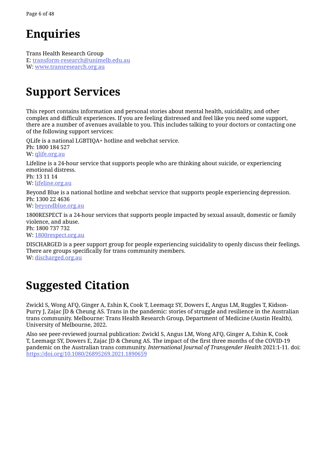### <span id="page-5-0"></span>**Enquiries**

Trans Health Research Group E: [transform-research@unimelb.edu.au](mailto:transform-research%40unimelb.edu.au?subject=Trans%20in%20the%20Pandemic%20Enquiry) W: [www.transresearch.org.au](http://www.transresearch.org.au)

# **Support Services**

This report contains information and personal stories about mental health, suicidality, and other complex and difficult experiences. If you are feeling distressed and feel like you need some support, there are a number of avenues available to you. This includes talking to your doctors or contacting one of the following support services:

QLife is a national LGBTIQA+ hotline and webchat service. Ph: 1800 184 527 W: [qlife.org.au](http://qlife.org.au)

Lifeline is a 24-hour service that supports people who are thinking about suicide, or experiencing emotional distress. Ph: 13 11 14 W: [lifeline.org.au](http://lifeline.org.au)

Beyond Blue is a national hotline and webchat service that supports people experiencing depression. Ph: 1300 22 4636

W: [beyondblue.org.au](http://beyondblue.org.au)

1800RESPECT is a 24-hour services that supports people impacted by sexual assault, domestic or family violence, and abuse. Ph: 1800 737 732

W: [1800respect.org.au](http://1800respect.org.au)

DISCHARGED is a peer support group for people experiencing suicidality to openly discuss their feelings. There are groups specifically for trans community members. W: [discharged.org.au](http://discharged.org.au)

### **Suggested Citation**

Zwickl S, Wong AFQ, Ginger A, Eshin K, Cook T, Leemaqz SY, Dowers E, Angus LM, Ruggles T, Kidson-Purry J, Zajac JD & Cheung AS. Trans in the pandemic: stories of struggle and resilience in the Australian trans community. Melbourne: Trans Health Research Group, Department of Medicine (Austin Health), University of Melbourne, 2022.

Also see peer-reviewed journal publication: Zwickl S, Angus LM, Wong AFQ, Ginger A, Eshin K, Cook T, Leemaqz SY, Dowers E, Zajac JD & Cheung AS. The impact of the first three months of the COVID-19 pandemic on the Australian trans community. *International Journal of Transgender Health* 2021:1-11. doi: <https://doi.org/10.1080/26895269.2021.1890659>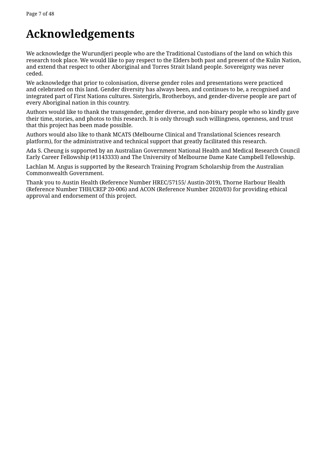## <span id="page-6-0"></span>**Acknowledgements**

We acknowledge the Wurundjeri people who are the Traditional Custodians of the land on which this research took place. We would like to pay respect to the Elders both past and present of the Kulin Nation, and extend that respect to other Aboriginal and Torres Strait Island people. Sovereignty was never ceded.

We acknowledge that prior to colonisation, diverse gender roles and presentations were practiced and celebrated on this land. Gender diversity has always been, and continues to be, a recognised and integrated part of First Nations cultures. Sistergirls, Brotherboys, and gender-diverse people are part of every Aboriginal nation in this country.

Authors would like to thank the transgender, gender diverse, and non-binary people who so kindly gave their time, stories, and photos to this research. It is only through such willingness, openness, and trust that this project has been made possible.

Authors would also like to thank MCATS (Melbourne Clinical and Translational Sciences research platform), for the administrative and technical support that greatly facilitated this research.

Ada S. Cheung is supported by an Australian Government National Health and Medical Research Council Early Career Fellowship (#1143333) and The University of Melbourne Dame Kate Campbell Fellowship.

Lachlan M. Angus is supported by the Research Training Program Scholarship from the Australian Commonwealth Government.

Thank you to Austin Health (Reference Number HREC/57155/ Austin-2019), Thorne Harbour Health (Reference Number THH/CREP 20-006) and ACON (Reference Number 2020/03) for providing ethical approval and endorsement of this project.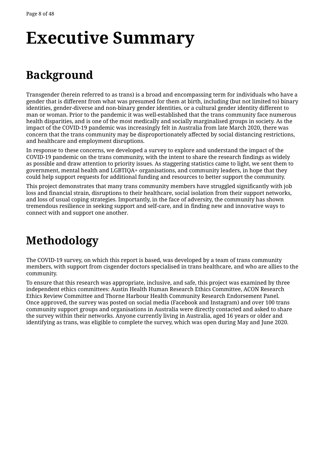# <span id="page-7-0"></span>**Executive Summary**

# **Background**

Transgender (herein referred to as trans) is a broad and encompassing term for individuals who have a gender that is different from what was presumed for them at birth, including (but not limited to) binary identities, gender-diverse and non-binary gender identities, or a cultural gender identity different to man or woman. Prior to the pandemic it was well-established that the trans community face numerous health disparities, and is one of the most medically and socially marginalised groups in society. As the impact of the COVID-19 pandemic was increasingly felt in Australia from late March 2020, there was concern that the trans community may be disproportionately affected by social distancing restrictions, and healthcare and employment disruptions.

In response to these concerns, we developed a survey to explore and understand the impact of the COVID-19 pandemic on the trans community, with the intent to share the research findings as widely as possible and draw attention to priority issues. As staggering statistics came to light, we sent them to government, mental health and LGBTIQA+ organisations, and community leaders, in hope that they could help support requests for additional funding and resources to better support the community.

This project demonstrates that many trans community members have struggled significantly with job loss and financial strain, disruptions to their healthcare, social isolation from their support networks, and loss of usual coping strategies. Importantly, in the face of adversity, the community has shown tremendous resilience in seeking support and self-care, and in finding new and innovative ways to connect with and support one another.

# **Methodology**

The COVID-19 survey, on which this report is based, was developed by a team of trans community members, with support from cisgender doctors specialised in trans healthcare, and who are allies to the community.

To ensure that this research was appropriate, inclusive, and safe, this project was examined by three independent ethics committees: Austin Health Human Research Ethics Committee, ACON Research Ethics Review Committee and Thorne Harbour Health Community Research Endorsement Panel. Once approved, the survey was posted on social media (Facebook and Instagram) and over 100 trans community support groups and organisations in Australia were directly contacted and asked to share the survey within their networks. Anyone currently living in Australia, aged 16 years or older and identifying as trans, was eligible to complete the survey, which was open during May and June 2020.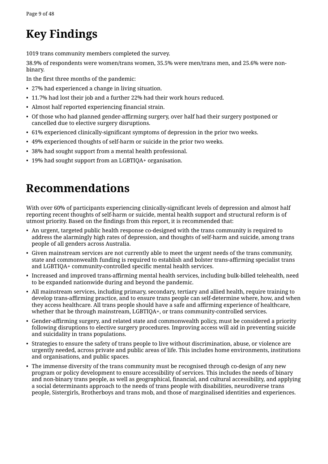# **Key Findings**

1019 trans community members completed the survey.

38.9% of respondents were women/trans women, 35.5% were men/trans men, and 25.6% were nonbinary.

In the first three months of the pandemic:

- 27% had experienced a change in living situation.
- 11.7% had lost their job and a further 22% had their work hours reduced.
- Almost half reported experiencing financial strain.
- Of those who had planned gender-affirming surgery, over half had their surgery postponed or cancelled due to elective surgery disruptions.
- 61% experienced clinically-significant symptoms of depression in the prior two weeks.
- 49% experienced thoughts of self-harm or suicide in the prior two weeks.
- 38% had sought support from a mental health professional.
- 19% had sought support from an LGBTIQA+ organisation.

### **Recommendations**

With over 60% of participants experiencing clinically-significant levels of depression and almost half reporting recent thoughts of self-harm or suicide, mental health support and structural reform is of utmost priority. Based on the findings from this report, it is recommended that:

- An urgent, targeted public health response co-designed with the trans community is required to address the alarmingly high rates of depression, and thoughts of self-harm and suicide, among trans people of all genders across Australia.
- Given mainstream services are not currently able to meet the urgent needs of the trans community, state and commonwealth funding is required to establish and bolster trans-affirming specialist trans and LGBTIQA+ community-controlled specific mental health services.
- Increased and improved trans-affirming mental health services, including bulk-billed telehealth, need to be expanded nationwide during and beyond the pandemic.
- All mainstream services, including primary, secondary, tertiary and allied health, require training to develop trans-affirming practice, and to ensure trans people can self-determine where, how, and when they access healthcare. All trans people should have a safe and affirming experience of healthcare, whether that be through mainstream, LGBTIQA+, or trans community-controlled services.
- Gender-affirming surgery, and related state and commonwealth policy, must be considered a priority following disruptions to elective surgery procedures. Improving access will aid in preventing suicide and suicidality in trans populations.
- Strategies to ensure the safety of trans people to live without discrimination, abuse, or violence are urgently needed, across private and public areas of life. This includes home environments, institutions and organisations, and public spaces.
- The immense diversity of the trans community must be recognised through co-design of any new program or policy development to ensure accessibility of services. This includes the needs of binary and non-binary trans people, as well as geographical, financial, and cultural accessibility, and applying a social determinants approach to the needs of trans people with disabilities, neurodiverse trans people, Sistergirls, Brotherboys and trans mob, and those of marginalised identities and experiences.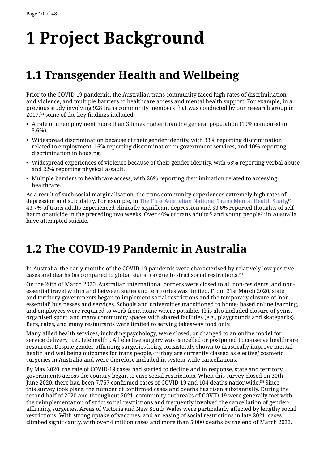# <span id="page-9-0"></span>**1 Project Background**

# **1.1 Transgender Health and Wellbeing**

Prior to the COVID-19 pandemic, the Australian trans community faced high rates of discrimination and violence, and multiple barriers to healthcare access and mental health support. For example, in a previous study involving 928 trans community members that was conducted by our research group in  $2017<sup>(1)</sup>$  some of the key findings included:

- A rate of unemployment more than 3 times higher than the general population (19% compared to 5.6%).
- Widespread discrimination because of their gender identity, with 33% reporting discrimination related to employment, 16% reporting discrimination in government services, and 10% reporting discrimination in housing.
- Widespread experiences of violence because of their gender identity, with 63% reporting verbal abuse and 22% reporting physical assault.
- Multiple barriers to healthcare access, with 26% reporting discrimination related to accessing healthcare.

As a result of such social marginalisation, the trans community experiences extremely high rates of depression and suicidality. For example, in <u>The First Australian National Trans Mental Health Study</u>, $^{(2)}$ 43.7% of trans adults experienced clinically-significant depression and 53.6% reported thoughts of selfharm or suicide in the preceding two weeks. Over 40% of trans adults<sup>(1)</sup> and young people<sup>(3)</sup> in Australia have attempted suicide.

# **1.2 The COVID-19 Pandemic in Australia**

In Australia, the early months of the COVID-19 pandemic were characterised by relatively low positive cases and deaths (as compared to global statistics) due to strict social restrictions.(4)

On the 20th of March 2020, Australian international borders were closed to all non-residents, and nonessential travel within and between states and territories was limited. From 21st March 2020, state and territory governments began to implement social restrictions and the temporary closure of 'nonessential' businesses and services. Schools and universities transitioned to home- based online learning, and employees were required to work from home where possible. This also included closure of gyms, organised sport, and many community spaces with shared facilities (e.g., playgrounds and skateparks). Bars, cafes, and many restaurants were limited to serving takeaway food only.

Many allied health services, including psychology, were closed, or changed to an online model for service delivery (i.e., telehealth). All elective surgery was cancelled or postponed to conserve healthcare resources. Despite gender-affirming surgeries being consistently shown to drastically improve mental health and wellbeing outcomes for trans people,<sup> $(5-7)$ </sup> they are currently classed as elective/ cosmetic surgeries in Australia and were therefore included in system-wide cancellations.

By May 2020, the rate of COVID-19 cases had started to decline and in response, state and territory governments across the country began to ease social restrictions. When this survey closed on 30th June 2020, there had been 7,767 confirmed cases of COVID-19 and 104 deaths nationwide.<sup>(8)</sup> Since this survey took place, the number of confirmed cases and deaths has risen substantially. During the second half of 2020 and throughout 2021, community outbreaks of COVID-19 were generally met with the reimplementation of strict social restrictions and frequently involved the cancellation of genderaffirming surgeries. Areas of Victoria and New South Wales were particularly affected by lengthy social restrictions. With strong uptake of vaccines, and an easing of social restrictions in late 2021, cases climbed significantly, with over 4 million cases and more than 5,000 deaths by the end of March 2022.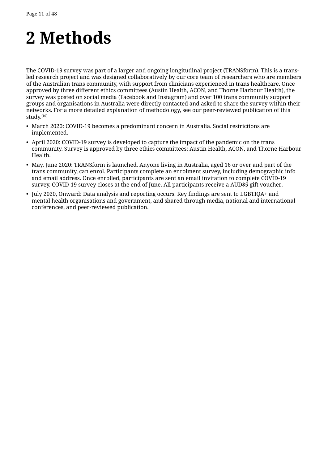# <span id="page-10-0"></span>**2 Methods**

The COVID-19 survey was part of a larger and ongoing longitudinal project (TRANSform). This is a transled research project and was designed collaboratively by our core team of researchers who are members of the Australian trans community, with support from clinicians experienced in trans healthcare. Once approved by three different ethics committees (Austin Health, ACON, and Thorne Harbour Health), the survey was posted on social media (Facebook and Instagram) and over 100 trans community support groups and organisations in Australia were directly contacted and asked to share the survey within their networks. For a more detailed explanation of methodology, see our peer-reviewed publication of this study. $(10)$ 

- March 2020: COVID-19 becomes a predominant concern in Australia. Social restrictions are implemented.
- April 2020: COVID-19 survey is developed to capture the impact of the pandemic on the trans community. Survey is approved by three ethics committees: Austin Health, ACON, and Thorne Harbour Health.
- May, June 2020: TRANSform is launched. Anyone living in Australia, aged 16 or over and part of the trans community, can enrol. Participants complete an enrolment survey, including demographic info and email address. Once enrolled, participants are sent an email invitation to complete COVID-19 survey. COVID-19 survey closes at the end of June. All participants receive a AUD\$5 gift voucher.
- July 2020, Onward: Data analysis and reporting occurs. Key findings are sent to LGBTIQA+ and mental health organisations and government, and shared through media, national and international conferences, and peer-reviewed publication.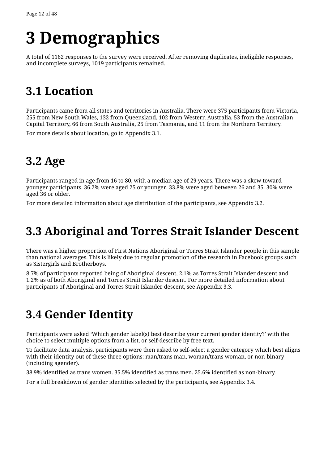# <span id="page-11-0"></span>**3 Demographics**

A total of 1162 responses to the survey were received. After removing duplicates, ineligible responses, and incomplete surveys, 1019 participants remained.

# **3.1 Location**

Participants came from all states and territories in Australia. There were 375 participants from Victoria, 255 from New South Wales, 132 from Queensland, 102 from Western Australia, 53 from the Australian Capital Territory, 66 from South Australia, 25 from Tasmania, and 11 from the Northern Territory.

For more details about location, go to Appendix 3.1.

# **3.2 Age**

Participants ranged in age from 16 to 80, with a median age of 29 years. There was a skew toward younger participants. 36.2% were aged 25 or younger. 33.8% were aged between 26 and 35. 30% were aged 36 or older.

For more detailed information about age distribution of the participants, see Appendix 3.2.

### **3.3 Aboriginal and Torres Strait Islander Descent**

There was a higher proportion of First Nations Aboriginal or Torres Strait Islander people in this sample than national averages. This is likely due to regular promotion of the research in Facebook groups such as Sistergirls and Brotherboys.

8.7% of participants reported being of Aboriginal descent, 2.1% as Torres Strait Islander descent and 1.2% as of both Aboriginal and Torres Strait Islander descent. For more detailed information about participants of Aboriginal and Torres Strait Islander descent, see Appendix 3.3.

### **3.4 Gender Identity**

Participants were asked 'Which gender label(s) best describe your current gender identity?' with the choice to select multiple options from a list, or self-describe by free text.

To facilitate data analysis, participants were then asked to self-select a gender category which best aligns with their identity out of these three options: man/trans man, woman/trans woman, or non-binary (including agender).

38.9% identified as trans women. 35.5% identified as trans men. 25.6% identified as non-binary.

For a full breakdown of gender identities selected by the participants, see Appendix 3.4.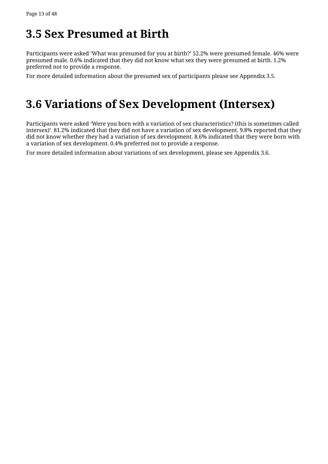### <span id="page-12-0"></span>**3.5 Sex Presumed at Birth**

Participants were asked 'What was presumed for you at birth?' 52.2% were presumed female. 46% were presumed male. 0.6% indicated that they did not know what sex they were presumed at birth. 1.2% preferred not to provide a response.

For more detailed information about the presumed sex of participants please see Appendix 3.5.

## **3.6 Variations of Sex Development (Intersex)**

Participants were asked 'Were you born with a variation of sex characteristics? (this is sometimes called intersex)'. 81.2% indicated that they did not have a variation of sex development. 9.8% reported that they did not know whether they had a variation of sex development. 8.6% indicated that they were born with a variation of sex development. 0.4% preferred not to provide a response.

For more detailed information about variations of sex development, please see Appendix 3.6.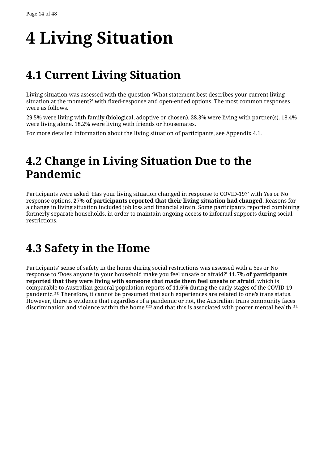# <span id="page-13-0"></span>**4 Living Situation**

## **4.1 Current Living Situation**

Living situation was assessed with the question 'What statement best describes your current living situation at the moment?' with fixed-response and open-ended options. The most common responses were as follows.

29.5% were living with family (biological, adoptive or chosen). 28.3% were living with partner(s). 18.4% were living alone. 18.2% were living with friends or housemates.

For more detailed information about the living situation of participants, see Appendix 4.1.

### **4.2 Change in Living Situation Due to the Pandemic**

Participants were asked 'Has your living situation changed in response to COVID-19?' with Yes or No response options. **27% of participants reported that their living situation had changed.** Reasons for a change in living situation included job loss and financial strain. Some participants reported combining formerly separate households, in order to maintain ongoing access to informal supports during social restrictions.

## **4.3 Safety in the Home**

Participants' sense of safety in the home during social restrictions was assessed with a Yes or No response to 'Does anyone in your household make you feel unsafe or afraid?' **11.7% of participants reported that they were living with someone that made them feel unsafe or afraid**, which is comparable to Australian general population reports of 11.6% during the early stages of the COVID-19 pandemic.(11) Therefore, it cannot be presumed that such experiences are related to one's trans status. However, there is evidence that regardless of a pandemic or not, the Australian trans community faces discrimination and violence within the home (12) and that this is associated with poorer mental health.<sup>(15)</sup>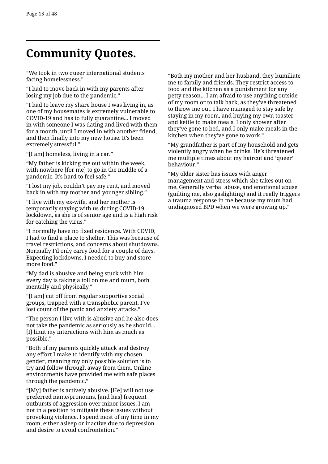## **Community Quotes.**

"We took in two queer international students facing homelessness."

"I had to move back in with my parents after losing my job due to the pandemic."

"I had to leave my share house I was living in, as one of my housemates is extremely vulnerable to COVID-19 and has to fully quarantine... I moved in with someone I was dating and lived with them for a month, until I moved in with another friend, and then finally into my new house. It's been extremely stressful."

"[I am] homeless, living in a car."

"My father is kicking me out within the week, with nowhere [for me] to go in the middle of a pandemic. It's hard to feel safe."

"I lost my job, couldn't pay my rent, and moved back in with my mother and younger sibling."

"I live with my ex-wife, and her mother is temporarily staying with us during COVID-19 lockdown, as she is of senior age and is a high risk for catching the virus."

"I normally have no fixed residence. With COVID, I had to find a place to shelter. This was because of travel restrictions, and concerns about shutdowns. Normally I'd only carry food for a couple of days. Expecting lockdowns, I needed to buy and store more food."

"My dad is abusive and being stuck with him every day is taking a toll on me and mum, both mentally and physically."

"[I am] cut off from regular supportive social groups, trapped with a transphobic parent. I've lost count of the panic and anxiety attacks."

"The person I live with is abusive and he also does not take the pandemic as seriously as he should... [I] limit my interactions with him as much as possible."

"Both of my parents quickly attack and destroy any effort I make to identify with my chosen gender, meaning my only possible solution is to try and follow through away from them. Online environments have provided me with safe places through the pandemic."

"[My] father is actively abusive. [He] will not use preferred name/pronouns, [and has] frequent outbursts of aggression over minor issues. I am not in a position to mitigate these issues without provoking violence. I spend most of my time in my room, either asleep or inactive due to depression and desire to avoid confrontation."

"Both my mother and her husband, they humiliate me to family and friends. They restrict access to food and the kitchen as a punishment for any petty reason... I am afraid to use anything outside of my room or to talk back, as they've threatened to throw me out. I have managed to stay safe by staying in my room, and buying my own toaster and kettle to make meals. I only shower after they've gone to bed, and I only make meals in the kitchen when they've gone to work."

"My grandfather is part of my household and gets violently angry when he drinks. He's threatened me multiple times about my haircut and 'queer' behaviour."

"My older sister has issues with anger management and stress which she takes out on me. Generally verbal abuse, and emotional abuse (guilting me, also gaslighting) and it really triggers a trauma response in me because my mum had undiagnosed BPD when we were growing up."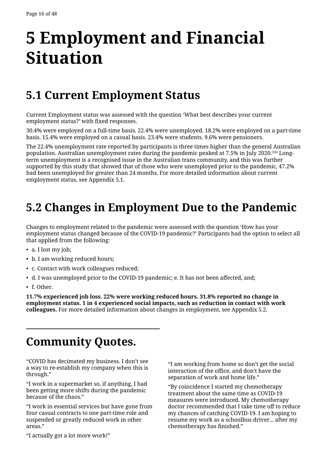# <span id="page-15-0"></span>**5 Employment and Financial Situation**

## **5.1 Current Employment Status**

Current Employment status was assessed with the question 'What best describes your current employment status?' with fixed responses.

30.4% were employed on a full-time basis. 22.4% were unemployed. 18.2% were employed on a part-time basis. 15.4% were employed on a casual basis. 23.4% were students. 9.6% were pensioners.

The 22.4% unemployment rate reported by participants is three times higher than the general Australian population. Australian unemployment rates during the pandemic peaked at 7.5% in July 2020.(16) Longterm unemployment is a recognised issue in the Australian trans community, and this was further supported by this study that showed that of those who were unemployed prior to the pandemic, 47.2% had been unemployed for greater than 24 months. For more detailed information about current employment status, see Appendix 5.1.

### **5.2 Changes in Employment Due to the Pandemic**

Changes to employment related to the pandemic were assessed with the question 'How has your employment status changed because of the COVID-19 pandemic?' Participants had the option to select all that applied from the following:

- a. I lost my job;
- b. I am working reduced hours;
- c. Contact with work colleagues reduced;
- d. I was unemployed prior to the COVID-19 pandemic; e. It has not been affected, and;
- f. Other.

**11.7% experienced job loss. 22% were working reduced hours. 31.8% reported no change in employment status. 1 in 4 experienced social impacts, such as reduction in contact with work colleagues.** For more detailed information about changes in employment, see Appendix 5.2.

### **Community Quotes.**

"COVID has decimated my business. I don't see a way to re-establish my company when this is through."

"I work in a supermarket so, if anything, I had been getting more shifts during the pandemic because of the chaos."

"I work in essential services but have gone from four casual contracts to one part-time role and suspended or greatly reduced work in other areas."

"I am working from home so don't get the social interaction of the office, and don't have the separation of work and home life."

"By coincidence I started my chemotherapy treatment about the same time as COVID-19 measures were introduced. My chemotherapy doctor recommended that I take time off to reduce my chances of catching COVID-19. I am hoping to resume my work as a schoolbus driver... after my chemotherapy has finished."

"I actually got a lot more work!"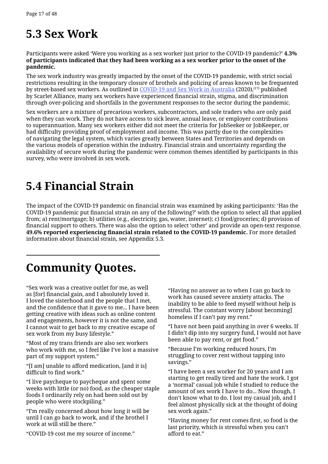### <span id="page-16-0"></span>**5.3 Sex Work**

Participants were asked 'Were you working as a sex worker just prior to the COVID-19 pandemic?' **4.3% of participants indicated that they had been working as a sex worker prior to the onset of the pandemic.**

The sex work industry was greatly impacted by the onset of the COVID-19 pandemic, with strict social restrictions resulting in the temporary closure of brothels and policing of areas known to be frequented by street-based sex workers. As outlined in [COVID-19 and Sex Work in Australia](https://scarletalliance.org.au/library/COVID_Report) (2020),<sup>(17)</sup> published by Scarlet Alliance, many sex workers have experienced financial strain, stigma, and discrimination through over-policing and shortfalls in the government responses to the sector during the pandemic.

Sex workers are a mixture of precarious workers, subcontractors, and sole traders who are only paid when they can work. They do not have access to sick leave, annual leave, or employer contributions to superannuation. Many sex workers either did not meet the criteria for JobSeeker or JobKeeper, or had difficulty providing proof of employment and income. This was partly due to the complexities of navigating the legal system, which varies greatly between States and Territories and depends on the various models of operation within the industry. Financial strain and uncertainty regarding the availability of secure work during the pandemic were common themes identified by participants in this survey, who were involved in sex work.

## **5.4 Financial Strain**

The impact of the COVID-19 pandemic on financial strain was examined by asking participants: 'Has the COVID-19 pandemic put financial strain on any of the following?' with the option to select all that applied from; a) rent/mortgage; b) utilities (e.g., electricity, gas, water, internet); c) food/groceries; d) provision of financial support to others. There was also the option to select 'other' and provide an open-text response. **49.6% reported experiencing financial strain related to the COVID-19 pandemic.** For more detailed information about financial strain, see Appendix 5.3.

# **Community Quotes.**

"Sex work was a creative outlet for me, as well as [for] financial gain, and I absolutely loved it. I loved the sisterhood and the people that I met, and the confidence that it gave to me... I have been getting creative with ideas such as online content and engagements, however it is not the same, and I cannot wait to get back to my creative escape of sex work from my busy lifestyle."

"Most of my trans friends are also sex workers who work with me, so I feel like I've lost a massive part of my support system."

"[I am] unable to afford medication, [and it is] difficult to find work."

"I live paycheque to paycheque and spent some weeks with little (or no) food, as the cheaper staple foods I ordinarily rely on had been sold out by people who were stockpiling."

"I'm really concerned about how long it will be until I can go back to work, and if the brothel I work at will still be there."

"COVID-19 cost me my source of income."

"Having no answer as to when I can go back to work has caused severe anxiety attacks. The inability to be able to feed myself without help is stressful. The constant worry [about becoming] homeless if I can't pay my rent."

"I have not been paid anything in over 6 weeks. If I didn't dip into my surgery fund, I would not have been able to pay rent, or get food."

"Because I'm working reduced hours, I'm struggling to cover rent without tapping into savings."

"I have been a sex worker for 20 years and I am starting to get really tired and hate the work. I got a 'normal' casual job while I studied to reduce the amount of sex work I have to do... Now though, I don't know what to do. I lost my casual job, and I feel almost physically sick at the thought of doing sex work again."

"Having money for rent comes first, so food is the last priority, which is stressful when you can't afford to eat."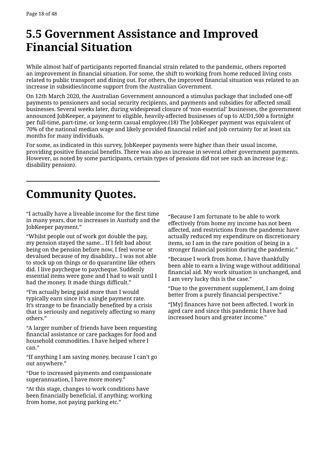### <span id="page-17-0"></span>**5.5 Government Assistance and Improved Financial Situation**

While almost half of participants reported financial strain related to the pandemic, others reported an improvement in financial situation. For some, the shift to working from home reduced living costs related to public transport and dining out. For others, the improved financial situation was related to an increase in subsidies/income support from the Australian Government.

On 12th March 2020, the Australian Government announced a stimulus package that included one-off payments to pensioners and social security recipients, and payments and subsidies for affected small businesses. Several weeks later, during widespread closure of 'non-essential' businesses, the government announced JobKeeper, a payment to eligible, heavily-affected businesses of up to AUD1,500 a fortnight per full-time, part-time, or long-term casual employee.(18) The JobKeeper payment was equivalent of 70% of the national median wage and likely provided financial relief and job certainty for at least six months for many individuals.

For some, as indicated in this survey, JobKeeper payments were higher than their usual income, providing positive financial benefits. There was also an increase in several other government payments. However, as noted by some participants, certain types of pensions did not see such an increase (e.g.: disability pension).

## **Community Quotes.**

"I actually have a liveable income for the first time in many years, due to increases in Austudy and the JobKeeper payment."

"Whilst people out of work got double the pay, my pension stayed the same... If I felt bad about being on the pension before now, I feel worse or devalued because of my disability... I was not able to stock up on things or do quarantine like others did. I live paycheque to paycheque. Suddenly essential items were gone and I had to wait until I had the money. It made things difficult."

"I'm actually being paid more than I would typically earn since it's a single payment rate. It's strange to be financially benefited by a crisis that is seriously and negatively affecting so many others."

"A larger number of friends have been requesting financial assistance or care packages for food and household commodities. I have helped where I can."

"If anything I am saving money, because I can't go out anywhere."

"Due to increased payments and compassionate superannuation, I have more money."

"At this stage, changes to work conditions have been financially beneficial, if anything; working from home, not paying parking etc."

"Because I am fortunate to be able to work effectively from home my income has not been affected, and restrictions from the pandemic have actually reduced my expenditure on discretionary items, so I am in the rare position of being in a stronger financial position during the pandemic."

"Because I work from home, I have thankfully been able to earn a living wage without additional financial aid. My work situation is unchanged, and I am very lucky this is the case."

"Due to the government supplement, I am doing better from a purely financial perspective."

"[My] finances have not been affected. I work in aged care and since this pandemic I have had increased hours and greater income."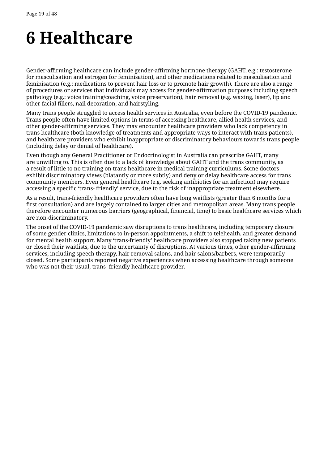# <span id="page-18-0"></span>**6 Healthcare**

Gender-affirming healthcare can include gender-affirming hormone therapy (GAHT, e.g.: testosterone for masculisation and estrogen for feminisation), and other medications related to masculisation and feminisation (e.g.: medications to prevent hair loss or to promote hair growth). There are also a range of procedures or services that individuals may access for gender-affirmation purposes including speech pathology (e.g.: voice training/coaching, voice preservation), hair removal (e.g. waxing, laser), lip and other facial fillers, nail decoration, and hairstyling.

Many trans people struggled to access health services in Australia, even before the COVID-19 pandemic. Trans people often have limited options in terms of accessing healthcare, allied health services, and other gender-affirming services. They may encounter healthcare providers who lack competency in trans healthcare (both knowledge of treatments and appropriate ways to interact with trans patients), and healthcare providers who exhibit inappropriate or discriminatory behaviours towards trans people (including delay or denial of healthcare).

Even though any General Practitioner or Endocrinologist in Australia can prescribe GAHT, many are unwilling to. This is often due to a lack of knowledge about GAHT and the trans community, as a result of little to no training on trans healthcare in medical training curriculums. Some doctors exhibit discriminatory views (blatantly or more subtly) and deny or delay healthcare access for trans community members. Even general healthcare (e.g. seeking antibiotics for an infection) may require accessing a specific 'trans- friendly' service, due to the risk of inappropriate treatment elsewhere.

As a result, trans-friendly healthcare providers often have long waitlists (greater than 6 months for a first consultation) and are largely contained to larger cities and metropolitan areas. Many trans people therefore encounter numerous barriers (geographical, financial, time) to basic healthcare services which are non-discriminatory.

The onset of the COVID-19 pandemic saw disruptions to trans healthcare, including temporary closure of some gender clinics, limitations to in-person appointments, a shift to telehealth, and greater demand for mental health support. Many 'trans-friendly' healthcare providers also stopped taking new patients or closed their waitlists, due to the uncertainty of disruptions. At various times, other gender-affirming services, including speech therapy, hair removal salons, and hair salons/barbers, were temporarily closed. Some participants reported negative experiences when accessing healthcare through someone who was not their usual, trans- friendly healthcare provider.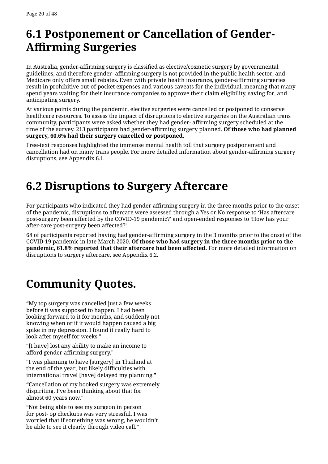### <span id="page-19-0"></span>**6.1 Postponement or Cancellation of Gender-Affirming Surgeries**

In Australia, gender-affirming surgery is classified as elective/cosmetic surgery by governmental guidelines, and therefore gender- affirming surgery is not provided in the public health sector, and Medicare only offers small rebates. Even with private health insurance, gender-affirming surgeries result in prohibitive out-of-pocket expenses and various caveats for the individual, meaning that many spend years waiting for their insurance companies to approve their claim eligibility, saving for, and anticipating surgery.

At various points during the pandemic, elective surgeries were cancelled or postponed to conserve healthcare resources. To assess the impact of disruptions to elective surgeries on the Australian trans community, participants were asked whether they had gender- affirming surgery scheduled at the time of the survey. 213 participants had gender-affirming surgery planned. **Of those who had planned surgery, 60.6% had their surgery cancelled or postponed.**

Free-text responses highlighted the immense mental health toll that surgery postponement and cancellation had on many trans people. For more detailed information about gender-affirming surgery disruptions, see Appendix 6.1.

## **6.2 Disruptions to Surgery Aftercare**

For participants who indicated they had gender-affirming surgery in the three months prior to the onset of the pandemic, disruptions to aftercare were assessed through a Yes or No response to 'Has aftercare post-surgery been affected by the COVID-19 pandemic?' and open-ended responses to 'How has your after-care post-surgery been affected?'

68 of participants reported having had gender-affirming surgery in the 3 months prior to the onset of the COVID-19 pandemic in late March 2020. **Of those who had surgery in the three months prior to the pandemic, 61.8% reported that their aftercare had been affected.** For more detailed information on disruptions to surgery aftercare, see Appendix 6.2.

### **Community Quotes.**

"My top surgery was cancelled just a few weeks before it was supposed to happen. I had been looking forward to it for months, and suddenly not knowing when or if it would happen caused a big spike in my depression. I found it really hard to look after myself for weeks."

"[I have] lost any ability to make an income to afford gender-affirming surgery."

"I was planning to have [surgery] in Thailand at the end of the year, but likely difficulties with international travel [have] delayed my planning."

"Cancellation of my booked surgery was extremely dispiriting. I've been thinking about that for almost 60 years now."

"Not being able to see my surgeon in person for post- op checkups was very stressful. I was worried that if something was wrong, he wouldn't be able to see it clearly through video call."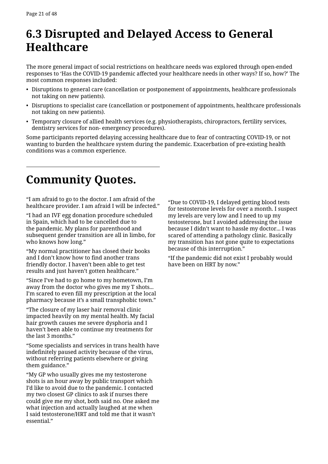### <span id="page-20-0"></span>**6.3 Disrupted and Delayed Access to General Healthcare**

The more general impact of social restrictions on healthcare needs was explored through open-ended responses to 'Has the COVID-19 pandemic affected your healthcare needs in other ways? If so, how?' The most common responses included:

- Disruptions to general care (cancellation or postponement of appointments, healthcare professionals not taking on new patients).
- Disruptions to specialist care (cancellation or postponement of appointments, healthcare professionals not taking on new patients).
- Temporary closure of allied health services (e.g. physiotherapists, chiropractors, fertility services, dentistry services for non- emergency procedures).

Some participants reported delaying accessing healthcare due to fear of contracting COVID-19, or not wanting to burden the healthcare system during the pandemic. Exacerbation of pre-existing health conditions was a common experience.

### **Community Quotes.**

"I am afraid to go to the doctor. I am afraid of the healthcare provider. I am afraid I will be infected."

"I had an IVF egg donation procedure scheduled in Spain, which had to be cancelled due to the pandemic. My plans for parenthood and subsequent gender transition are all in limbo, for who knows how long."

"My normal practitioner has closed their books and I don't know how to find another trans friendly doctor. I haven't been able to get test results and just haven't gotten healthcare."

"Since I've had to go home to my hometown, I'm away from the doctor who gives me my T shots... I'm scared to even fill my prescription at the local pharmacy because it's a small transphobic town."

"The closure of my laser hair removal clinic impacted heavily on my mental health. My facial hair growth causes me severe dysphoria and I haven't been able to continue my treatments for the last 3 months."

"Some specialists and services in trans health have indefinitely paused activity because of the virus, without referring patients elsewhere or giving them guidance."

"My GP who usually gives me my testosterone shots is an hour away by public transport which I'd like to avoid due to the pandemic. I contacted my two closest GP clinics to ask if nurses there could give me my shot, both said no. One asked me what injection and actually laughed at me when I said testosterone/HRT and told me that it wasn't essential."

"Due to COVID-19, I delayed getting blood tests for testosterone levels for over a month. I suspect my levels are very low and I need to up my testosterone, but I avoided addressing the issue because I didn't want to hassle my doctor... I was scared of attending a pathology clinic. Basically my transition has not gone quite to expectations because of this interruption."

"If the pandemic did not exist I probably would have been on HRT by now."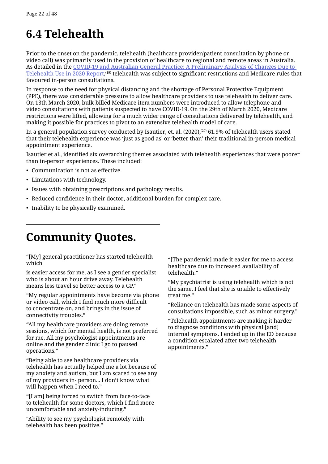### <span id="page-21-0"></span>**6.4 Telehealth**

Prior to the onset on the pandemic, telehealth (healthcare provider/patient consultation by phone or video call) was primarily used in the provision of healthcare to regional and remote areas in Australia. As detailed in the [COVID-19 and Australian General Practice: A Preliminary Analysis of Changes Due to](https://www.publish.csiro.au/ah/AH20157)  <u>Telehealth Use in 2020 Report</u>,<sup>(19)</sup> telehealth was subject to significant restrictions and Medicare rules that favoured in-person consultations.

In response to the need for physical distancing and the shortage of Personal Protective Equipment (PPE), there was considerable pressure to allow healthcare providers to use telehealth to deliver care. On 13th March 2020, bulk-billed Medicare item numbers were introduced to allow telephone and video consultations with patients suspected to have COVID-19. On the 29th of March 2020, Medicare restrictions were lifted, allowing for a much wider range of consultations delivered by telehealth, and making it possible for practices to pivot to an extensive telehealth model of care.

In a general population survey conducted by Isautier, et. al. (2020),<sup>(20)</sup> 61.9% of telehealth users stated that their telehealth experience was 'just as good as' or 'better than' their traditional in-person medical appointment experience.

Isautier et al., identified six overarching themes associated with telehealth experiences that were poorer than in-person experiences. These included:

- Communication is not as effective.
- Limitations with technology.
- Issues with obtaining prescriptions and pathology results.
- Reduced confidence in their doctor, additional burden for complex care.
- Inability to be physically examined.

### **Community Quotes.**

"[My] general practitioner has started telehealth which

is easier access for me, as I see a gender specialist who is about an hour drive away. Telehealth means less travel so better access to a GP."

"My regular appointments have become via phone or video call, which I find much more difficult to concentrate on, and brings in the issue of connectivity troubles."

"All my healthcare providers are doing remote sessions, which for mental health, is not preferred for me. All my psychologist appointments are online and the gender clinic I go to paused operations."

"Being able to see healthcare providers via telehealth has actually helped me a lot because of my anxiety and autism, but I am scared to see any of my providers in- person... I don't know what will happen when I need to."

"[I am] being forced to switch from face-to-face to telehealth for some doctors, which I find more uncomfortable and anxiety-inducing."

"Ability to see my psychologist remotely with telehealth has been positive."

"[The pandemic] made it easier for me to access healthcare due to increased availability of telehealth."

"My psychiatrist is using telehealth which is not the same. I feel that she is unable to effectively treat me."

"Reliance on telehealth has made some aspects of consultations impossible, such as minor surgery."

"Telehealth appointments are making it harder to diagnose conditions with physical [and] internal symptoms. I ended up in the ED because a condition escalated after two telehealth appointments."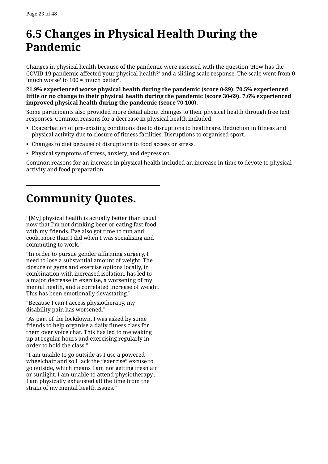### <span id="page-22-0"></span>**6.5 Changes in Physical Health During the Pandemic**

Changes in physical health because of the pandemic were assessed with the question 'How has the COVID-19 pandemic affected your physical health?' and a sliding scale response. The scale went from 0 = 'much worse' to 100 = 'much better'.

**21.9% experienced worse physical health during the pandemic (score 0-29). 70.5% experienced little or no change to their physical health during the pandemic (score 30-69). 7.6% experienced improved physical health during the pandemic (score 70-100).**

Some participants also provided more detail about changes to their physical health through free text responses. Common reasons for a decrease in physical health included:

- Exacerbation of pre-existing conditions due to disruptions to healthcare. Reduction in fitness and physical activity due to closure of fitness facilities. Disruptions to organised sport.
- Changes to diet because of disruptions to food access or stress.
- Physical symptoms of stress, anxiety, and depression.

Common reasons for an increase in physical health included an increase in time to devote to physical activity and food preparation.

### **Community Quotes.**

"[My] physical health is actually better than usual now that I'm not drinking beer or eating fast food with my friends. I've also got time to run and cook, more than I did when I was socialising and commuting to work."

"In order to pursue gender affirming surgery, I need to lose a substantial amount of weight. The closure of gyms and exercise options locally, in combination with increased isolation, has led to a major decrease in exercise, a worsening of my mental health, and a correlated increase of weight. This has been emotionally devastating."

"Because I can't access physiotherapy, my disability pain has worsened."

"As part of the lockdown, I was asked by some friends to help organise a daily fitness class for them over voice chat. This has led to me waking up at regular hours and exercising regularly in order to hold the class."

"I am unable to go outside as I use a powered wheelchair and so I lack the "exercise" excuse to go outside, which means I am not getting fresh air or sunlight. I am unable to attend physiotherapy... I am physically exhausted all the time from the strain of my mental health issues."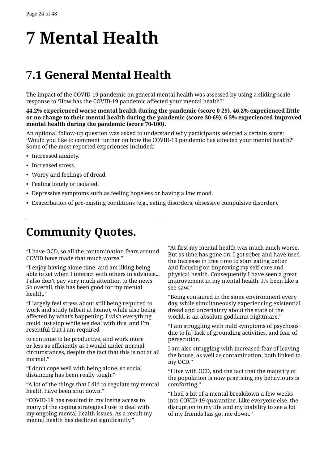# <span id="page-23-0"></span>**7 Mental Health**

# **7.1 General Mental Health**

The impact of the COVID-19 pandemic on general mental health was assessed by using a sliding scale response to 'How has the COVID-19 pandemic affected your mental health?'

**44.2% experienced worse mental health during the pandemic (score 0-29). 46.2% experienced little or no change to their mental health during the pandemic (score 30-69). 6.5% experienced improved mental health during the pandemic (score 70-100).**

An optional follow-up question was asked to understand why participants selected a certain score: 'Would you like to comment further on how the COVID-19 pandemic has affected your mental health?' Some of the most reported experiences included:

- Increased anxiety.
- Increased stress.
- Worry and feelings of dread.
- Feeling lonely or isolated.
- Depressive symptoms such as feeling hopeless or having a low mood.
- Exacerbation of pre-existing conditions (e.g., eating disorders, obsessive compulsive disorder).

## **Community Quotes.**

"I have OCD, so all the contamination fears around COVID have made that much worse."

"I enjoy having alone time, and am liking being able to set when I interact with others in advance... I also don't pay very much attention to the news. So overall, this has been good for my mental health."

"I largely feel stress about still being required to work and study (albeit at home), while also being affected by what's happening. I wish everything could just stop while we deal with this, and I'm resentful that I am required

to continue to be productive, and work more or less as efficiently as I would under normal circumstances, despite the fact that this is not at all normal."

"I don't cope well with being alone, so social distancing has been really tough."

"A lot of the things that I did to regulate my mental health have been shut down."

"COVID-19 has resulted in my losing access to many of the coping strategies I use to deal with my ongoing mental health issues. As a result my mental health has declined significantly."

"At first my mental health was much much worse. But as time has gone on, I got sober and have used the increase in free time to start eating better and focusing on improving my self-care and physical health. Consequently I have seen a great improvement in my mental health. It's been like a see-saw."

"Being contained in the same environment every day, while simultaneously experiencing existential dread and uncertainty about the state of the world, is an absolute goddamn nightmare."

"I am struggling with mild symptoms of psychosis due to [a] lack of grounding activities, and fear of persecution.

I am also struggling with increased fear of leaving the house, as well as contamination, both linked to my OCD."

"I live with OCD, and the fact that the majority of the population is now practicing my behaviours is comforting."

"I had a bit of a mental breakdown a few weeks into COVID-19 quarantine. Like everyone else, the disruption to my life and my inability to see a lot of my friends has got me down."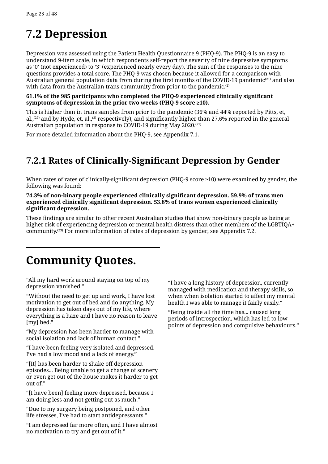### <span id="page-24-0"></span>**7.2 Depression**

Depression was assessed using the Patient Health Questionnaire 9 (PHQ-9). The PHQ-9 is an easy to understand 9-item scale, in which respondents self-report the severity of nine depressive symptoms as '0' (not experienced) to '3' (experienced nearly every day). The sum of the responses to the nine questions provides a total score. The PHQ-9 was chosen because it allowed for a comparison with Australian general population data from during the first months of the COVID-19 pandemic<sup>(21)</sup> and also with data from the Australian trans community from prior to the pandemic.<sup>(2)</sup>

#### **61.1% of the 985 participants who completed the PHQ-9 experienced clinically significant symptoms of depression in the prior two weeks (PHQ-9 score ≥10).**

This is higher than in trans samples from prior to the pandemic (36% and 44% reported by Pitts, et, al.,<sup>(22)</sup> and by Hyde, et, al.,<sup>(2)</sup> respectively), and significantly higher than 27.6% reported in the general Australian population in response to COVID-19 during May 2020.<sup>(21)</sup>

For more detailed information about the PHQ-9, see Appendix 7.1.

### **7.2.1 Rates of Clinically-Significant Depression by Gender**

When rates of rates of clinically-significant depression (PHQ-9 score ≥10) were examined by gender, the following was found:

#### **74.3% of non-binary people experienced clinically significant depression. 59.9% of trans men experienced clinically significant depression. 53.8% of trans women experienced clinically significant depression.**

These findings are similar to other recent Australian studies that show non-binary people as being at higher risk of experiencing depression or mental health distress than other members of the LGBTIQA+ community.<sup>(23)</sup> For more information of rates of depression by gender, see Appendix 7.2.

### **Community Quotes.**

"All my hard work around staying on top of my depression vanished."

"Without the need to get up and work, I have lost motivation to get out of bed and do anything. My depression has taken days out of my life, where everything is a haze and I have no reason to leave [my] bed."

"My depression has been harder to manage with social isolation and lack of human contact."

"I have been feeling very isolated and depressed. I've had a low mood and a lack of energy."

"[It] has been harder to shake off depression episodes... Being unable to get a change of scenery or even get out of the house makes it harder to get out of."

"[I have been] feeling more depressed, because I am doing less and not getting out as much."

"Due to my surgery being postponed, and other life stresses, I've had to start antidepressants."

"I am depressed far more often, and I have almost no motivation to try and get out of it."

"I have a long history of depression, currently managed with medication and therapy skills, so when when isolation started to affect my mental health I was able to manage it fairly easily."

"Being inside all the time has... caused long periods of introspection, which has led to low points of depression and compulsive behaviours."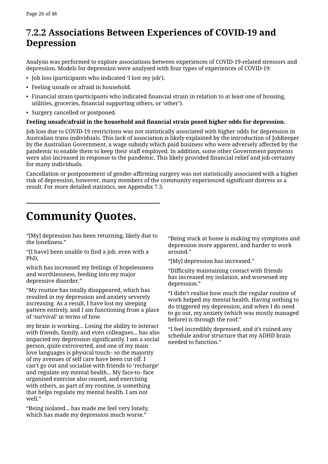### <span id="page-25-0"></span>**7.2.2 Associations Between Experiences of COVID-19 and Depression**

Analysis was performed to explore associations between experiences of COVID-19-related stressors and depression. Models for depression were analysed with four types of experiences of COVID-19:

- Job loss (participants who indicated 'I lost my job').
- Feeling unsafe or afraid in household.
- Financial strain (participants who indicated financial strain in relation to at least one of housing, utilities, groceries, financial supporting others, or 'other').
- Surgery cancelled or postponed.

#### **Feeling unsafe/afraid in the household and financial strain posed higher odds for depression.**

Job loss due to COVID-19 restrictions was not statistically associated with higher odds for depression in Australian trans individuals. This lack of association is likely explained by the introduction of JobKeeper by the Australian Government, a wage subsidy which paid business who were adversely affected by the pandemic to enable them to keep their staff employed. In addition, some other Government payments were also increased in response to the pandemic. This likely provided financial relief and job certainty for many individuals.

Cancellation or postponement of gender-affirming surgery was not statistically associated with a higher risk of depression, however, many members of the community experienced significant distress as a result. For more detailed statistics, see Appendix 7.3.

### **Community Quotes.**

"[My] depression has been returning, likely due to the loneliness."

"[I have] been unable to find a job, even with a PhD,

which has increased my feelings of hopelessness and worthlessness, feeding into my major depressive disorder."

"My routine has totally disappeared, which has resulted in my depression and anxiety severely increasing. As a result, I have lost my sleeping pattern entirely, and I am functioning from a place of 'survival' in terms of how

my brain is working... Losing the ability to interact with friends, family, and even colleagues... has also impacted my depression significantly. I am a social person, quite extroverted, and one of my main love languages is physical touch– so the majority of my avenues of self care have been cut off. I can't go out and socialise with friends to 'recharge' and regulate my mental health... My face-to- face organised exercise also ceased, and exercising with others, as part of my routine, is something that helps regulate my mental health. I am not well."

"Being isolated... has made me feel very lonely, which has made my depression much worse."

"Being stuck at home is making my symptoms and depression more apparent, and harder to work around."

"[My] depression has increased."

"Difficulty maintaining contact with friends has increased my isolation, and worsened my depression."

"I didn't realise how much the regular routine of work helped my mental health. Having nothing to do triggered my depression, and when I do need to go out, my anxiety (which was mostly managed before) is through the roof."

"I feel incredibly depressed, and it's ruined any schedule and/or structure that my ADHD brain needed to function."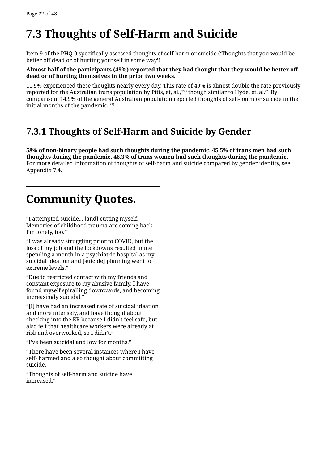## <span id="page-26-0"></span>**7.3 Thoughts of Self-Harm and Suicide**

Item 9 of the PHQ-9 specifically assessed thoughts of self-harm or suicide ('Thoughts that you would be better off dead or of hurting yourself in some way').

#### **Almost half of the participants (49%) reported that they had thought that they would be better off dead or of hurting themselves in the prior two weeks.**

11.9% experienced these thoughts nearly every day. This rate of 49% is almost double the rate previously reported for the Australian trans population by Pitts, et, al., $(22)$  though similar to Hyde, et. al. $(2)$  By comparison, 14.9% of the general Australian population reported thoughts of self-harm or suicide in the initial months of the pandemic.<sup>(21)</sup>

### **7.3.1 Thoughts of Self-Harm and Suicide by Gender**

**58% of non-binary people had such thoughts during the pandemic. 45.5% of trans men had such thoughts during the pandemic. 46.3% of trans women had such thoughts during the pandemic.**  For more detailed information of thoughts of self-harm and suicide compared by gender identity, see Appendix 7.4.

### **Community Quotes.**

"I attempted suicide... [and] cutting myself. Memories of childhood trauma are coming back. I'm lonely, too."

"I was already struggling prior to COVID, but the loss of my job and the lockdowns resulted in me spending a month in a psychiatric hospital as my suicidal ideation and [suicide] planning went to extreme levels."

"Due to restricted contact with my friends and constant exposure to my abusive family, I have found myself spiralling downwards, and becoming increasingly suicidal."

"[I] have had an increased rate of suicidal ideation and more intensely, and have thought about checking into the ER because I didn't feel safe, but also felt that healthcare workers were already at risk and overworked, so I didn't."

"I've been suicidal and low for months."

"There have been several instances where I have self- harmed and also thought about committing suicide."

"Thoughts of self-harm and suicide have increased."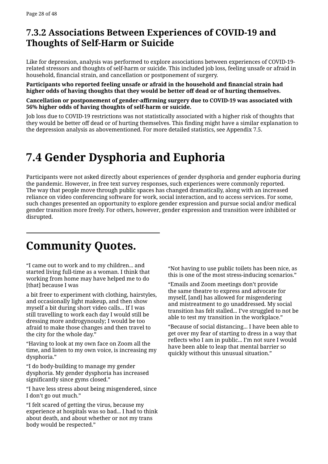### <span id="page-27-0"></span>**7.3.2 Associations Between Experiences of COVID-19 and Thoughts of Self-Harm or Suicide**

Like for depression, analysis was performed to explore associations between experiences of COVID-19 related stressors and thoughts of self-harm or suicide. This included job loss, feeling unsafe or afraid in household, financial strain, and cancellation or postponement of surgery.

**Participants who reported feeling unsafe or afraid in the household and financial strain had higher odds of having thoughts that they would be better off dead or of hurting themselves.**

**Cancellation or postponement of gender-affirming surgery due to COVID-19 was associated with 56% higher odds of having thoughts of self-harm or suicide.**

Job loss due to COVID-19 restrictions was not statistically associated with a higher risk of thoughts that they would be better off dead or of hurting themselves. This finding might have a similar explanation to the depression analysis as abovementioned. For more detailed statistics, see Appendix 7.5.

## **7.4 Gender Dysphoria and Euphoria**

Participants were not asked directly about experiences of gender dysphoria and gender euphoria during the pandemic. However, in free text survey responses, such experiences were commonly reported. The way that people move through public spaces has changed dramatically, along with an increased reliance on video conferencing software for work, social interaction, and to access services. For some, such changes presented an opportunity to explore gender expression and pursue social and/or medical gender transition more freely. For others, however, gender expression and transition were inhibited or disrupted.

### **Community Quotes.**

"I came out to work and to my children... and started living full-time as a woman. I think that working from home may have helped me to do [that] because I was

a bit freer to experiment with clothing, hairstyles, and occasionally light makeup, and then show myself a bit during short video calls... If I was still travelling to work each day I would still be dressing more androgynously; I would be too afraid to make those changes and then travel to the city for the whole day."

"Having to look at my own face on Zoom all the time, and listen to my own voice, is increasing my dysphoria."

"I do body-building to manage my gender dysphoria. My gender dysphoria has increased significantly since gyms closed."

"I have less stress about being misgendered, since I don't go out much."

"I felt scared of getting the virus, because my experience at hospitals was so bad... I had to think about death, and about whether or not my trans body would be respected."

"Not having to use public toilets has been nice, as this is one of the most stress-inducing scenarios."

"Emails and Zoom meetings don't provide the same theatre to express and advocate for myself, [and] has allowed for misgendering and mistreatment to go unaddressed. My social transition has felt stalled... I've struggled to not be able to test my transition in the workplace."

"Because of social distancing... I have been able to get over my fear of starting to dress in a way that reflects who I am in public... I'm not sure I would have been able to leap that mental barrier so quickly without this unusual situation."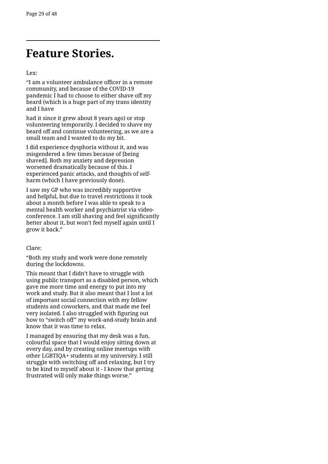### **Feature Stories.**

Lex:

"I am a volunteer ambulance officer in a remote community, and because of the COVID-19 pandemic I had to choose to either shave off my beard (which is a huge part of my trans identity and I have

had it since it grew about 8 years ago) or stop volunteering temporarily. I decided to shave my beard off and continue volunteering, as we are a small team and I wanted to do my bit.

I did experience dysphoria without it, and was misgendered a few times because of [being shaved]. Both my anxiety and depression worsened dramatically because of this. I experienced panic attacks, and thoughts of selfharm (which I have previously done).

I saw my GP who was incredibly supportive and helpful, but due to travel restrictions it took about a month before I was able to speak to a mental health worker and psychiatrist via videoconference. I am still shaving and feel significantly better about it, but won't feel myself again until I grow it back."

#### Clare:

"Both my study and work were done remotely during the lockdowns.

This meant that I didn't have to struggle with using public transport as a disabled person, which gave me more time and energy to put into my work and study. But it also meant that I lost a lot of important social connection with my fellow students and coworkers, and that made me feel very isolated. I also struggled with figuring out how to "switch off" my work-and-study brain and know that it was time to relax.

I managed by ensuring that my desk was a fun, colourful space that I would enjoy sitting down at every day, and by creating online meetups with other LGBTIQA+ students at my university. I still struggle with switching off and relaxing, but I try to be kind to myself about it - I know that getting frustrated will only make things worse."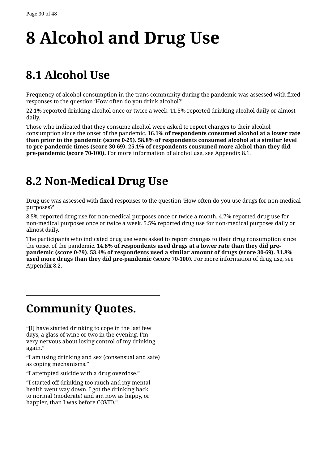# <span id="page-29-0"></span>**8 Alcohol and Drug Use**

# **8.1 Alcohol Use**

Frequency of alcohol consumption in the trans community during the pandemic was assessed with fixed responses to the question 'How often do you drink alcohol?'

22.1% reported drinking alcohol once or twice a week. 11.5% reported drinking alcohol daily or almost daily.

Those who indicated that they consume alcohol were asked to report changes to their alcohol consumption since the onset of the pandemic. **16.1% of respondents consumed alcohol at a lower rate than prior to the pandemic (score 0-29). 58.8% of respondents consumed alcohol at a similar level to pre-pandemic times (score 30-69). 25.1% of respondents consumed more alchol than they did pre-pandemic (score 70-100).** For more information of alcohol use, see Appendix 8.1.

### **8.2 Non-Medical Drug Use**

Drug use was assessed with fixed responses to the question 'How often do you use drugs for non-medical purposes?'

8.5% reported drug use for non-medical purposes once or twice a month. 4.7% reported drug use for non-medical purposes once or twice a week. 5.5% reported drug use for non-medical purposes daily or almost daily.

The participants who indicated drug use were asked to report changes to their drug consumption since the onset of the pandemic. **14.8% of respondents used drugs at a lower rate than they did prepandemic (score 0-29). 53.4% of respondents used a similar amount of drugs (score 30-69). 31.8% used more drugs than they did pre-pandemic (score 70-100).** For more information of drug use, see Appendix 8.2.

## **Community Quotes.**

"[I] have started drinking to cope in the last few days, a glass of wine or two in the evening. I'm very nervous about losing control of my drinking again."

"I am using drinking and sex (consensual and safe) as coping mechanisms."

"I attempted suicide with a drug overdose."

"I started off drinking too much and my mental health went way down. I got the drinking back to normal (moderate) and am now as happy, or happier, than I was before COVID."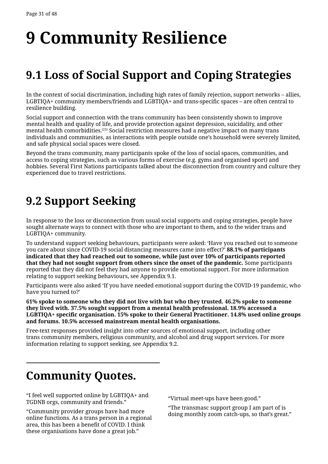# <span id="page-30-0"></span>**9 Community Resilience**

# **9.1 Loss of Social Support and Coping Strategies**

In the context of social discrimination, including high rates of family rejection, support networks – allies, LGBTIQA+ community members/friends and LGBTIQA+ and trans-specific spaces – are often central to resilience building.

Social support and connection with the trans community has been consistently shown to improve mental health and quality of life, and provide protection against depression, suicidality, and other mental health comorbidities.(25) Social restriction measures had a negative impact on many trans individuals and communities, as interactions with people outside one's household were severely limited, and safe physical social spaces were closed.

Beyond the trans community, many participants spoke of the loss of social spaces, communities, and access to coping strategies, such as various forms of exercise (e.g. gyms and organised sport) and hobbies. Several First Nations participants talked about the disconnection from country and culture they experienced due to travel restrictions.

### **9.2 Support Seeking**

In response to the loss or disconnection from usual social supports and coping strategies, people have sought alternate ways to connect with those who are important to them, and to the wider trans and LGBTIQA+ community.

To understand support seeking behaviours, participants were asked: 'Have you reached out to someone you care about since COVID-19 social distancing measures came into effect?' **88.1% of participants indicated that they had reached out to someone, while just over 10% of participants reported that they had not sought support from others since the onset of the pandemic.** Some participants reported that they did not feel they had anyone to provide emotional support. For more information relating to support seeking behaviours, see Appendix 9.1.

Participants were also asked 'If you have needed emotional support during the COVID-19 pandemic, who have you turned to?'

**61% spoke to someone who they did not live with but who they trusted. 46.2% spoke to someone they lived with. 37.5% sought support from a mental health professional. 18.9% accessed a LGBTIQA+ specific organisation. 15% spoke to their General Practitioner. 14.8% used online groups and forums. 10.5% accessed mainstream mental health organisations.**

Free-text responses provided insight into other sources of emotional support, including other trans community members, religious community, and alcohol and drug support services. For more information relating to support seeking, see Appendix 9.2.

### **Community Quotes.**

"I feel well supported online by LGBTIQA+ and TGDNB orgs, community and friends."

"Community provider groups have had more online functions. As a trans person in a regional area, this has been a benefit of COVID. I think these organisations have done a great job."

"Virtual meet-ups have been good."

"The transmasc support group I am part of is doing monthly zoom catch-ups, so that's great."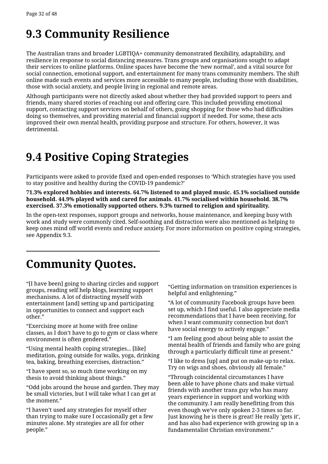### <span id="page-31-0"></span>**9.3 Community Resilience**

The Australian trans and broader LGBTIQA+ community demonstrated flexibility, adaptability, and resilience in response to social distancing measures. Trans groups and organisations sought to adapt their services to online platforms. Online spaces have become the 'new normal', and a vital source for social connection, emotional support, and entertainment for many trans community members. The shift online made such events and services more accessible to many people, including those with disabilities, those with social anxiety, and people living in regional and remote areas.

Although participants were not directly asked about whether they had provided support to peers and friends, many shared stories of reaching out and offering care. This included providing emotional support, contacting support services on behalf of others, going shopping for those who had difficulties doing so themselves, and providing material and financial support if needed. For some, these acts improved their own mental health, providing purpose and structure. For others, however, it was detrimental.

## **9.4 Positive Coping Strategies**

Participants were asked to provide fixed and open-ended responses to 'Which strategies have you used to stay positive and healthy during the COVID-19 pandemic?'

**71.3% explored hobbies and interests. 64.7% listened to and played music. 45.1% socialised outside household. 44.9% played with and cared for animals. 41.7% socialised within household. 38.7% exercised. 37.3% emotionally supported others. 9.3% turned to religion and spirituality.**

In the open-text responses, support groups and networks, house maintenance, and keeping busy with work and study were commonly cited. Self-soothing and distraction were also mentioned as helping to keep ones mind off world events and reduce anxiety. For more information on positive coping strategies, see Appendix 9.3.

### **Community Quotes.**

"[I have been] going to sharing circles and support groups, reading self help blogs, learning support mechanisms. A lot of distracting myself with entertainment [and] setting up and participating in opportunities to connect and support each other."

"Exercising more at home with free online classes, as I don't have to go to gym or class where environment is often gendered."

"Using mental health coping strategies... [like] meditation, going outside for walks, yoga, drinking tea, baking, breathing exercises, distraction."

"I have spent so, so much time working on my thesis to avoid thinking about things."

"Odd jobs around the house and garden. They may be small victories, but I will take what I can get at the moment."

"I haven't used any strategies for myself other than trying to make sure I occasionally get a few minutes alone. My strategies are all for other people."

"Getting information on transition experiences is helpful and enlightening."

"A lot of community Facebook groups have been set up, which I find useful. I also appreciate media recommendations that I have been receiving, for when I want community connection but don't have social energy to actively engage."

"I am feeling good about being able to assist the mental health of friends and family who are going through a particularly difficult time at present."

"I like to dress [up] and put on make-up to relax. Try on wigs and shoes, obviously all female."

"Through coincidental circumstances I have been able to have phone chats and make virtual friends with another trans guy who has many years experience in support and working with the community. I am really benefitting from this even though we've only spoken 2-3 times so far. Just knowing he is there is great! He really 'gets it', and has also had experience with growing up in a fundamentalist Christian environment."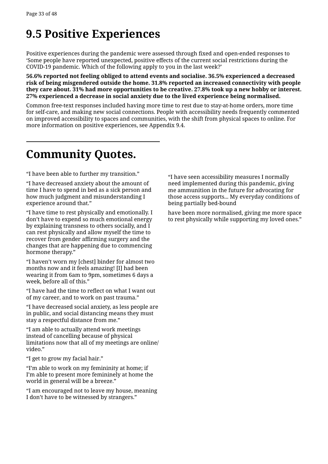# <span id="page-32-0"></span>**9.5 Positive Experiences**

Positive experiences during the pandemic were assessed through fixed and open-ended responses to 'Some people have reported unexpected, positive effects of the current social restrictions during the COVID-19 pandemic. Which of the following apply to you in the last week?'

**56.6% reported not feeling obliged to attend events and socialise. 36.5% experienced a decreased risk of being misgendered outside the home. 31.8% reported an increased connectivity with people they care about. 31% had more opportunities to be creative. 27.8% took up a new hobby or interest. 27% experienced a decrease in social anxiety due to the lived experience being normalised.**

Common free-text responses included having more time to rest due to stay-at-home orders, more time for self-care, and making new social connections. People with accessibility needs frequently commented on improved accessibility to spaces and communities, with the shift from physical spaces to online. For more information on positive experiences, see Appendix 9.4.

# **Community Quotes.**

"I have been able to further my transition."

"I have decreased anxiety about the amount of time I have to spend in bed as a sick person and how much judgment and misunderstanding I experience around that."

"I have time to rest physically and emotionally. I don't have to expend so much emotional energy by explaining transness to others socially, and I can rest physically and allow myself the time to recover from gender affirming surgery and the changes that are happening due to commencing hormone therapy."

"I haven't worn my [chest] binder for almost two months now and it feels amazing! [I] had been wearing it from 6am to 9pm, sometimes 6 days a week, before all of this."

"I have had the time to reflect on what I want out of my career, and to work on past trauma."

"I have decreased social anxiety, as less people are in public, and social distancing means they must stay a respectful distance from me."

"I am able to actually attend work meetings instead of cancelling because of physical limitations now that all of my meetings are online/ video."

"I get to grow my facial hair."

"I'm able to work on my femininity at home; if I'm able to present more femininely at home the world in general will be a breeze."

"I am encouraged not to leave my house, meaning I don't have to be witnessed by strangers."

"I have seen accessibility measures I normally need implemented during this pandemic, giving me ammunition in the future for advocating for those access supports... My everyday conditions of being partially bed-bound

have been more normalised, giving me more space to rest physically while supporting my loved ones."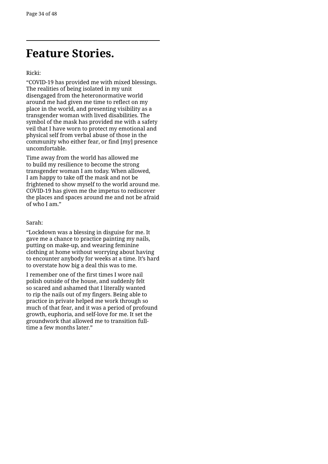### **Feature Stories.**

Ricki:

"COVID-19 has provided me with mixed blessings. The realities of being isolated in my unit disengaged from the heteronormative world around me had given me time to reflect on my place in the world, and presenting visibility as a transgender woman with lived disabilities. The symbol of the mask has provided me with a safety veil that I have worn to protect my emotional and physical self from verbal abuse of those in the community who either fear, or find [my] presence uncomfortable.

Time away from the world has allowed me to build my resilience to become the strong transgender woman I am today. When allowed, I am happy to take off the mask and not be frightened to show myself to the world around me. COVID-19 has given me the impetus to rediscover the places and spaces around me and not be afraid of who I am."

#### Sarah:

"Lockdown was a blessing in disguise for me. It gave me a chance to practice painting my nails, putting on make-up, and wearing feminine clothing at home without worrying about having to encounter anybody for weeks at a time. It's hard to overstate how big a deal this was to me.

I remember one of the first times I wore nail polish outside of the house, and suddenly felt so scared and ashamed that I literally wanted to rip the nails out of my fingers. Being able to practice in private helped me work through so much of that fear, and it was a period of profound growth, euphoria, and self-love for me. It set the groundwork that allowed me to transition fulltime a few months later."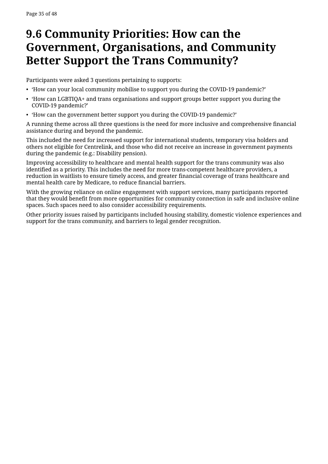### <span id="page-34-0"></span>**9.6 Community Priorities: How can the Government, Organisations, and Community Better Support the Trans Community?**

Participants were asked 3 questions pertaining to supports:

- 'How can your local community mobilise to support you during the COVID-19 pandemic?'
- 'How can LGBTIQA+ and trans organisations and support groups better support you during the COVID-19 pandemic?'
- 'How can the government better support you during the COVID-19 pandemic?'

A running theme across all three questions is the need for more inclusive and comprehensive financial assistance during and beyond the pandemic.

This included the need for increased support for international students, temporary visa holders and others not eligible for Centrelink, and those who did not receive an increase in government payments during the pandemic (e.g.: Disability pension).

Improving accessibility to healthcare and mental health support for the trans community was also identified as a priority. This includes the need for more trans-competent healthcare providers, a reduction in waitlists to ensure timely access, and greater financial coverage of trans healthcare and mental health care by Medicare, to reduce financial barriers.

With the growing reliance on online engagement with support services, many participants reported that they would benefit from more opportunities for community connection in safe and inclusive online spaces. Such spaces need to also consider accessibility requirements.

Other priority issues raised by participants included housing stability, domestic violence experiences and support for the trans community, and barriers to legal gender recognition.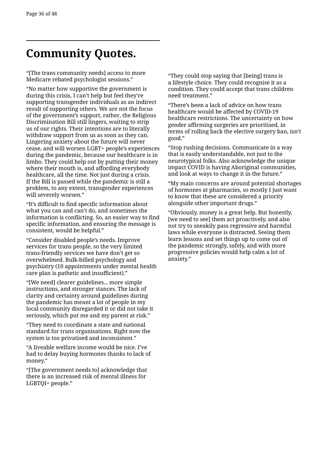## **Community Quotes.**

"[The trans community needs] access to more Medicare rebated psychologist sessions."

"No matter how supportive the government is during this crisis, I can't help but feel they're supporting transgender individuals as an indirect result of supporting others. We are not the focus of the government's support, rather, the Religious Discrimination Bill still lingers, waiting to strip us of our rights. Their intentions are to literally withdraw support from us as soon as they can. Lingering anxiety about the future will never cease, and will worsen LGBT+ people's experiences during the pandemic, because our healthcare is in limbo. They could help out by putting their money where their mouth is, and affording everybody healthcare, all the time. Not just during a crisis. If the Bill is passed while the pandemic is still a problem, to any extent, transgender experiences will severely worsen."

"It's difficult to find specific information about what you can and can't do, and sometimes the information is conflicting. So, an easier way to find specific information, and ensuring the message is consistent, would be helpful."

"Consider disabled people's needs. Improve services for trans people, so the very limited trans-friendly services we have don't get so overwhelmed. Bulk-billed psychology and psychiatry (10 appointments under mental health care plan is pathetic and insufficient)."

"[We need] clearer guidelines... more simple instructions, and stronger stances. The lack of clarity and certainty around guidelines during the pandemic has meant a lot of people in my local community disregarded it or did not take it seriously, which put me and my parent at risk."

"They need to coordinate a state and national standard for trans organisations. Right now the system is too privatised and inconsistent."

"A liveable welfare income would be nice. I've had to delay buying hormones thanks to lack of money."

"[The government needs to] acknowledge that there is an increased risk of mental illness for LGBTQI+ people."

"They could stop saying that [being] trans is a lifestyle choice. They could recognise it as a condition. They could accept that trans children need treatment."

"There's been a lack of advice on how trans healthcare would be affected by COVID-19 healthcare restrictions. The uncertainty on how gender affirming surgeries are prioritised, in terms of rolling back the elective surgery ban, isn't good."

"Stop rushing decisions. Communicate in a way that is easily understandable, not just to the neurotypical folks. Also acknowledge the unique impact COVID is having Aboriginal communities, and look at ways to change it in the future."

"My main concerns are around potential shortages of hormones at pharmacies, so mostly I just want to know that these are considered a priority alongside other important drugs."

"Obviously, money is a great help. But honestly, [we need to see] them act proactively, and also not try to sneakily pass regressive and harmful laws while everyone is distracted. Seeing them learn lessons and set things up to come out of the pandemic strongly, safely, and with more progressive policies would help calm a lot of anxiety."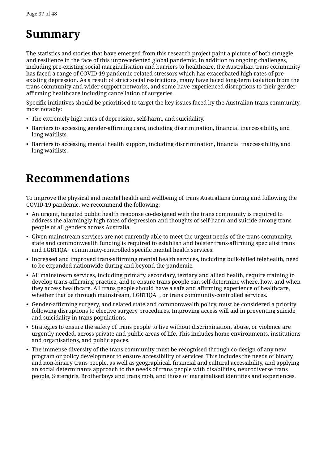### <span id="page-36-0"></span>**Summary**

The statistics and stories that have emerged from this research project paint a picture of both struggle and resilience in the face of this unprecedented global pandemic. In addition to ongoing challenges, including pre-existing social marginalisation and barriers to healthcare, the Australian trans community has faced a range of COVID-19 pandemic-related stressors which has exacerbated high rates of preexisting depression. As a result of strict social restrictions, many have faced long-term isolation from the trans community and wider support networks, and some have experienced disruptions to their genderaffirming healthcare including cancellation of surgeries.

Specific initiatives should be prioritised to target the key issues faced by the Australian trans community, most notably:

- The extremely high rates of depression, self-harm, and suicidality.
- Barriers to accessing gender-affirming care, including discrimination, financial inaccessibility, and long waitlists.
- Barriers to accessing mental health support, including discrimination, financial inaccessibility, and long waitlists.

### **Recommendations**

To improve the physical and mental health and wellbeing of trans Australians during and following the COVID-19 pandemic, we recommend the following:

- An urgent, targeted public health response co-designed with the trans community is required to address the alarmingly high rates of depression and thoughts of self-harm and suicide among trans people of all genders across Australia.
- Given mainstream services are not currently able to meet the urgent needs of the trans community, state and commonwealth funding is required to establish and bolster trans-affirming specialist trans and LGBTIQA+ community-controlled specific mental health services.
- Increased and improved trans-affirming mental health services, including bulk-billed telehealth, need to be expanded nationwide during and beyond the pandemic.
- All mainstream services, including primary, secondary, tertiary and allied health, require training to develop trans-affirming practice, and to ensure trans people can self-determine where, how, and when they access healthcare. All trans people should have a safe and affirming experience of healthcare, whether that be through mainstream, LGBTIQA+, or trans community-controlled services.
- Gender-affirming surgery, and related state and commonwealth policy, must be considered a priority following disruptions to elective surgery procedures. Improving access will aid in preventing suicide and suicidality in trans populations.
- Strategies to ensure the safety of trans people to live without discrimination, abuse, or violence are urgently needed, across private and public areas of life. This includes home environments, institutions and organisations, and public spaces.
- The immense diversity of the trans community must be recognised through co-design of any new program or policy development to ensure accessibility of services. This includes the needs of binary and non-binary trans people, as well as geographical, financial and cultural accessibility, and applying an social determinants approach to the needs of trans people with disabilities, neurodiverse trans people, Sistergirls, Brotherboys and trans mob, and those of marginalised identities and experiences.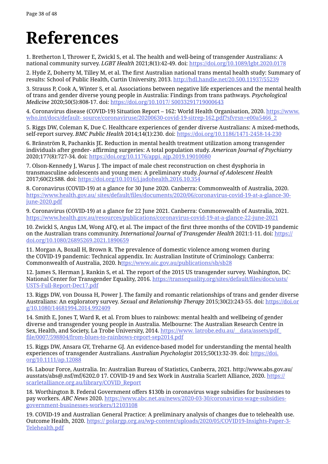# <span id="page-37-0"></span>**References**

1. Bretherton I, Thrower E, Zwickl S, et al. The health and well-being of transgender Australians: A national community survey. *LGBT Health* 2021;8(1):42-49. doi: <https://doi.org/10.1089/lgbt.2020.0178>

2. Hyde Z, Doherty M, Tilley M, et al. The first Australian national trans mental health study: Summary of results: School of Public Health, Curtin University, 2013. <http://hdl.handle.net/20.500.11937/55239>

3. Strauss P, Cook A, Winter S, et al. Associations between negative life experiences and the mental health of trans and gender diverse young people in Australia: Findings from trans pathways. *Psychological Medicine* 2020;50(5):808-17. doi: <https://doi.org/10.1017/ S0033291719000643>

4. Coronavirus disease (COVID-19) Situation Report – 162: World Health Organisation, 2020. [https://www.](https://www.who.int/docs/default- source/coronaviruse/20200630-covid-19-sitrep-162.pdf?sfvrsn=e00a5466_2) [who.int/docs/default- source/coronaviruse/20200630-covid-19-sitrep-162.pdf?sfvrsn=e00a5466\\_2](https://www.who.int/docs/default- source/coronaviruse/20200630-covid-19-sitrep-162.pdf?sfvrsn=e00a5466_2)

5. Riggs DW, Coleman K, Due C. Healthcare experiences of gender diverse Australians: A mixed-methods, self-report survey. *BMC Public Health* 2014;14(1):230. doi:<https://doi.org/10.1186/1471-2458-14-230>

6. Bränström R, Pachankis JE. Reduction in mental health treatment utilization among transgender individuals after gender- affirming surgeries: A total population study. *American Journal of Psychiatry* 2020;177(8):727-34. doi: <https://doi.org/10.1176/appi. ajp.2019.19010080>

7. Olson-Kennedy J, Warus J. The impact of male chest reconstruction on chest dysphoria in transmasculine adolescents and young men: A preliminary study. *Journal of Adolescent Health* 2017;60(2):S88. doi: <https://doi.org/10.1016/j.jadohealth.2016.10.354>

8. Coronavirus (COVID-19) at a glance for 30 June 2020. Canberra: Commonwealth of Australia, 2020. [https://www.health.gov.au/ sites/default/files/documents/2020/06/coronavirus-covid-19-at-a-glance-30](https://www.health.gov.au/ sites/default/files/documents/2020/06/coronavirus-covid-19-at-a-glance-30-june-2020.pdf) [june-2020.pdf](https://www.health.gov.au/ sites/default/files/documents/2020/06/coronavirus-covid-19-at-a-glance-30-june-2020.pdf)

9. Coronavirus (COVID-19) at a glance for 22 June 2021. Canberra: Commonwealth of Australia, 2021. <https://www.health.gov.au/resources/publications/coronavirus-covid-19-at-a-glance-22-june-2021>

10. Zwickl S, Angus LM, Wong AFQ, et al. The impact of the first three months of the COVID-19 pandemic on the Australian trans community. *International Journal of Transgender Health* 2021:1-11. doi: [https://](https://doi.org/10.1080/26895269.2021.1890659) [doi.org/10.1080/26895269.2021.1890659](https://doi.org/10.1080/26895269.2021.1890659)

11. Morgan A, Boxall H, Brown R. The prevalence of domestic violence among women during the COVID-19 pandemic: Technical appendix. In: Australian Institute of Criminology. Canberra: Commonwealth of Australia, 2020. [https://www.aic.gov.au/publications/sb/sb28](ttps://www.aic.gov.au/publications/sb/sb28)

12. James S, Herman J, Rankin S, et al. The report of the 2015 US transgender survey. Washington, DC: National Center for Transgender Equality, 2016. [https://transequality.org/sites/default/files/docs/usts/](https://transequality.org/sites/default/files/docs/usts/USTS-Full-Report-Dec17.pdf) [USTS-Full-Report-Dec17.pdf](https://transequality.org/sites/default/files/docs/usts/USTS-Full-Report-Dec17.pdf)

13. Riggs DW, von Doussa H, Power J. The family and romantic relationships of trans and gender diverse Australians: An exploratory survey. *Sexual and Relationship Therapy* 2015;30(2):243-55. doi: [https://doi.or](https://doi.org/10.1080/14681994.2014.992409) [g/10.1080/14681994.2014.992409](https://doi.org/10.1080/14681994.2014.992409)

14. Smith E, Jones T, Ward R, et al. From blues to rainbows: mental health and wellbeing of gender diverse and transgender young people in Australia. Melbourne: The Australian Research Centre in Sex, Health, and Society, La Trobe University, 2014. https://www. latrobe.edu.au/\_data/assets/pdf [file/0007/598804/from-blues-to-rainbows-report-sep2014.pdf](https://www. latrobe.edu.au/__data/assets/pdf_file/0007/598804/from-blues-to-rainbows-report-sep2014.pdf)

15. Riggs DW, Ansara GY, Treharne GJ. An evidence-based model for understanding the mental health experiences of transgender Australians. *Australian Psychologist* 2015;50(1):32-39. doi: [https://doi.](https://doi.org/10.1111/ap.12088) [org/10.1111/ap.12088](https://doi.org/10.1111/ap.12088)

16. Labour Force, Australia. In: Australian Bureau of Statistics, Canberra, 2021. http://www.abs.gov.au/ ausstats/abs@.nsf/mf/6202.0 17. COVID-19 and Sex Work in Australia Scarlett Alliance, 2020. [https://](https://scarletalliance.org.au/library/COVID_Report) [scarletalliance.org.au/library/COVID\\_Report](https://scarletalliance.org.au/library/COVID_Report)

18. Worthington B. Federal Government offers \$130b in coronavirus wage subsidies for businesses to pay workers. *ABC News* 2020. [https://www.abc.net.au/news/2020-03-30/coronavirus-wage-subsidies](https://www.abc.net.au/news/2020-03-30/coronavirus-wage-subsidies-government-businesses-workers/12103108)[government-businesses-workers/12103108](https://www.abc.net.au/news/2020-03-30/coronavirus-wage-subsidies-government-businesses-workers/12103108)

19. COVID-19 and Australian General Practice: A preliminary analysis of changes due to telehealth use. Outcome Health, 2020. [https:// polargp.org.au/wp-content/uploads/2020/05/COVID19-Insights-Paper-3-](https:// polargp.org.au/wp-content/uploads/2020/05/COVID19-Insights-Paper-3-Telehealth.pdf) [Telehealth.pdf](https:// polargp.org.au/wp-content/uploads/2020/05/COVID19-Insights-Paper-3-Telehealth.pdf)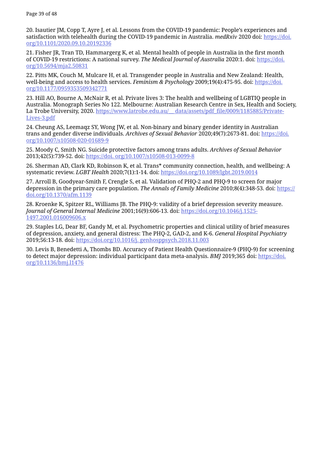20. Isautier JM, Copp T, Ayre J, et al. Lessons from the COVID-19 pandemic: People's experiences and satisfaction with telehealth during the COVID-19 pandemic in Australia. *medRxiv* 2020 doi: [https://doi.](https://doi.org/10.1101/2020.09.10.20192336) [org/10.1101/2020.09.10.20192336](https://doi.org/10.1101/2020.09.10.20192336)

21. Fisher JR, Tran TD, Hammargerg K, et al. Mental health of people in Australia in the first month of COVID-19 restrictions: A national survey. *The Medical Journal of Australia* 2020:1. doi: [https://doi.](https://doi.org/10.5694/mja2.50831) [org/10.5694/mja2.50831](https://doi.org/10.5694/mja2.50831)

22. Pitts MK, Couch M, Mulcare H, et al. Transgender people in Australia and New Zealand: Health, well-being and access to health services. *Feminism & Psychology* 2009;19(4):475-95. doi: [https://doi.](https://doi.org/10.1177/0959353509342771) [org/10.1177/0959353509342771](https://doi.org/10.1177/0959353509342771)

23. Hill AO, Bourne A, McNair R, et al. Private lives 3: The health and wellbeing of LGBTIQ people in Australia. Monograph Series No 122. Melbourne: Australian Research Centre in Sex, Health and Society, La Trobe University, 2020. https://www.latrobe.edu.au/ data/assets/pdf file/0009/1185885/Private-[Lives-3.pdf](https://www.latrobe.edu.au/__ data/assets/pdf_file/0009/1185885/Private-Lives-3.pdf)

24. Cheung AS, Leemaqz SY, Wong JW, et al. Non-binary and binary gender identity in Australian trans and gender diverse individuals. *Archives of Sexual Behavior* 2020;49(7):2673-81. doi: [https://doi.](https://doi.org/10.1007/s10508-020-01689-9) [org/10.1007/s10508-020-01689-9](https://doi.org/10.1007/s10508-020-01689-9)

25. Moody C, Smith NG. Suicide protective factors among trans adults. *Archives of Sexual Behavior* 2013;42(5):739-52. doi:<https://doi. org/10.1007/s10508-013-0099-8>

26. Sherman AD, Clark KD, Robinson K, et al. Trans\* community connection, health, and wellbeing: A systematic review. *LGBT Health* 2020;7(1):1-14. doi:<https://doi.org/10.1089/lgbt.2019.0014>

27. Arroll B, Goodyear-Smith F, Crengle S, et al. Validation of PHQ-2 and PHQ-9 to screen for major depression in the primary care population. *The Annals of Family Medicine* 2010;8(4):348-53. doi: [https://](https://doi.org/10.1370/afm.1139) [doi.org/10.1370/afm.1139](https://doi.org/10.1370/afm.1139)

28. Kroenke K, Spitzer RL, Williams JB. The PHQ-9: validity of a brief depression severity measure. *Journal of General Internal Medicine* 2001;16(9):606-13. doi: [https://doi.org/10.1046/j.1525-](https://doi.org/10.1046/j.1525-1497.2001.016009606.x) [1497.2001.016009606.x](https://doi.org/10.1046/j.1525-1497.2001.016009606.x)

29. Staples LG, Dear BF, Gandy M, et al. Psychometric properties and clinical utility of brief measures of depression, anxiety, and general distress: The PHQ-2, GAD-2, and K-6. *General Hospital Psychiatry* 2019;56:13-18. doi:<https://doi.org/10.1016/j. genhosppsych.2018.11.003>

30. Levis B, Benedetti A, Thombs BD. Accuracy of Patient Health Questionnaire-9 (PHQ-9) for screening to detect major depression: individual participant data meta-analysis. *BMJ* 2019;365 doi: [https://doi.](https://doi.org/10.1136/bmj.l1476) [org/10.1136/bmj.l1476](https://doi.org/10.1136/bmj.l1476)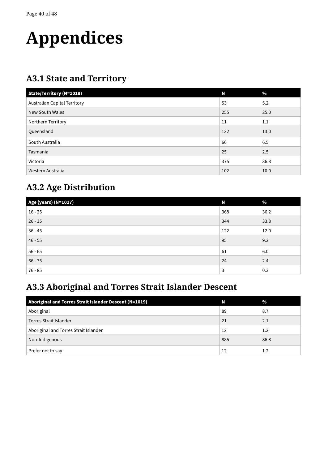# <span id="page-39-0"></span>**Appendices**

### **A3.1 State and Territory**

| <b>State/Territory (N=1019)</b> | N   | $\%$ |
|---------------------------------|-----|------|
| Australian Capital Territory    | 53  | 5.2  |
| <b>New South Wales</b>          | 255 | 25.0 |
| Northern Territory              | 11  | 1.1  |
| Queensland                      | 132 | 13.0 |
| South Australia                 | 66  | 6.5  |
| Tasmania                        | 25  | 2.5  |
| Victoria                        | 375 | 36.8 |
| Western Australia               | 102 | 10.0 |

### **A3.2 Age Distribution**

| Age (years) (N=1017) | Ν   | $\frac{0}{0}$ |
|----------------------|-----|---------------|
| $16 - 25$            | 368 | 36.2          |
| $26 - 35$            | 344 | 33.8          |
| $36 - 45$            | 122 | 12.0          |
| $46 - 55$            | 95  | 9.3           |
| $56 - 65$            | 61  | 6.0           |
| $66 - 75$            | 24  | 2.4           |
| $76 - 85$            | 3   | 0.3           |

### **A3.3 Aboriginal and Torres Strait Islander Descent**

| Aboriginal and Torres Strait Islander Descent (N=1019) | Ν   | $\frac{0}{0}$ |
|--------------------------------------------------------|-----|---------------|
| Aboriginal                                             | 89  | 8.7           |
| <b>Torres Strait Islander</b>                          | 21  | 2.1           |
| Aboriginal and Torres Strait Islander                  | 12  | 1.2           |
| Non-Indigenous                                         | 885 | 86.8          |
| Prefer not to say                                      | 12  | 1.2           |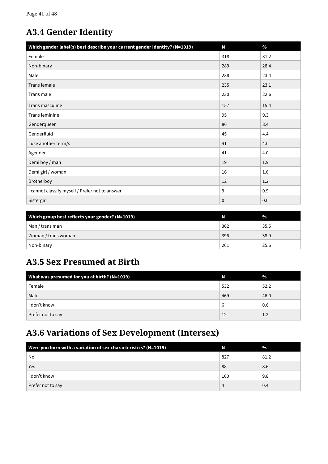### <span id="page-40-0"></span>**A3.4 Gender Identity**

| Which gender label(s) best describe your current gender identity? (N=1019) | N           | $\frac{0}{0}$ |
|----------------------------------------------------------------------------|-------------|---------------|
| Female                                                                     | 318         | 31.2          |
| Non-binary                                                                 | 289         | 28.4          |
| Male                                                                       | 238         | 23.4          |
| Trans female                                                               | 235         | 23.1          |
| Trans male                                                                 | 230         | 22.6          |
| Trans masculine                                                            | 157         | 15.4          |
| Trans feminine                                                             | 95          | 9.3           |
| Genderqueer                                                                | 86          | 8.4           |
| Genderfluid                                                                | 45          | 4.4           |
| I use another term/s                                                       | 41          | 4.0           |
| Agender                                                                    | 41          | 4.0           |
| Demi boy / man                                                             | 19          | 1.9           |
| Demi girl / woman                                                          | 16          | 1.6           |
| Brotherboy                                                                 | 12          | 1.2           |
| I cannot classify myself / Prefer not to answer                            | 9           | 0.9           |
| Sistergirl                                                                 | $\mathbf 0$ | 0.0           |

| Which group best reflects your gender? (N=1019) | Ν   | $\frac{0}{0}$ |
|-------------------------------------------------|-----|---------------|
| Man / trans man                                 | 362 | 35.5          |
| Woman / trans woman                             | 396 | 38.9          |
| Non-binary                                      | 261 | 25.6          |

### **A3.5 Sex Presumed at Birth**

| What was presumed for you at birth? (N=1019) | Ν   | $\frac{0}{0}$ |
|----------------------------------------------|-----|---------------|
| Female                                       | 532 | 52.2          |
| Male                                         | 469 | 46.0          |
| I don't know                                 | 6   | 0.6           |
| Prefer not to say                            | 12  | 1.2           |

### **A3.6 Variations of Sex Development (Intersex)**

| Were you born with a variation of sex characteristics? $(N=1019)$ | Ν   | $\frac{0}{0}$ |
|-------------------------------------------------------------------|-----|---------------|
| No                                                                | 827 | 81.2          |
| Yes                                                               | 88  | 8.6           |
| I don't know                                                      | 100 | 9.8           |
| Prefer not to say                                                 | 4   | 0.4           |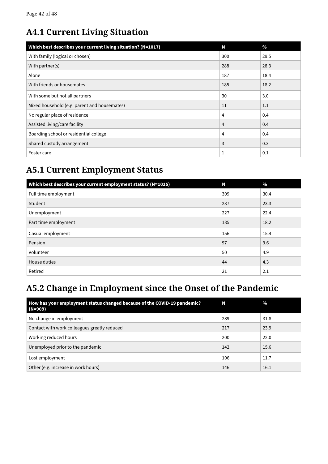### <span id="page-41-0"></span>**A4.1 Current Living Situation**

| Which best describes your current living situation? (N=1017) | N              | $\frac{0}{0}$ |
|--------------------------------------------------------------|----------------|---------------|
| With family (logical or chosen)                              | 300            | 29.5          |
| With partner(s)                                              | 288            | 28.3          |
| Alone                                                        | 187            | 18.4          |
| With friends or housemates                                   | 185            | 18.2          |
| With some but not all partners                               | 30             | 3.0           |
| Mixed household (e.g. parent and housemates)                 | 11             | 1.1           |
| No regular place of residence                                | 4              | 0.4           |
| Assisted living/care facility                                | $\overline{4}$ | 0.4           |
| Boarding school or residential college                       | 4              | 0.4           |
| Shared custody arrangement                                   | 3              | 0.3           |
| Foster care                                                  |                | 0.1           |

### **A5.1 Current Employment Status**

| Which best describes your current employment status? (N=1015) | N   | $\frac{0}{2}$ |
|---------------------------------------------------------------|-----|---------------|
| Full time employment                                          | 309 | 30.4          |
| Student                                                       | 237 | 23.3          |
| Unemployment                                                  | 227 | 22.4          |
| Part time employment                                          | 185 | 18.2          |
| Casual employment                                             | 156 | 15.4          |
| Pension                                                       | 97  | 9.6           |
| Volunteer                                                     | 50  | 4.9           |
| House duties                                                  | 44  | 4.3           |
| Retired                                                       | 21  | 2.1           |

### **A5.2 Change in Employment since the Onset of the Pandemic**

| How has your employment status changed because of the COVID-19 pandemic?<br>(N=909) | N   | $\frac{0}{0}$ |
|-------------------------------------------------------------------------------------|-----|---------------|
| No change in employment                                                             | 289 | 31.8          |
| Contact with work colleagues greatly reduced                                        | 217 | 23.9          |
| Working reduced hours                                                               | 200 | 22.0          |
| Unemployed prior to the pandemic                                                    | 142 | 15.6          |
| Lost employment                                                                     | 106 | 11.7          |
| Other (e.g. increase in work hours)                                                 | 146 | 16.1          |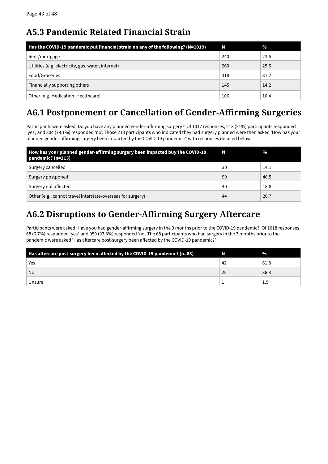### <span id="page-42-0"></span>**A5.3 Pandemic Related Financial Strain**

| Has the COVID-19 pandemic put financial strain on any of the following? (N=1019) | N   | $\frac{0}{2}$ |
|----------------------------------------------------------------------------------|-----|---------------|
| Rent/mortgage                                                                    | 240 | 23.6          |
| Utilities (e.g. electricity, gas, water, internet)                               | 260 | 25.5          |
| Food/Groceries                                                                   | 318 | 31.2          |
| Financially supporting others                                                    | 145 | 14.2          |
| Other (e.g. Medication, Healthcare)                                              | 106 | 10.4          |

### **A6.1 Postponement or Cancellation of Gender-Affirming Surgeries**

Participants were asked 'Do you have any planned gender-affirming surgery?' Of 1017 responses, 213 (21%) participants responded 'yes', and 804 (79.1%) responded 'no'. Those 213 participants who indicated they had surgery planned were then asked 'How has your planned gender-affirming surgery been impacted by the COVID-19 pandemic?' with responses detailed below.

| How has your planned gender-affirming surgery been impacted buy the COVID-19<br>pandemic? $(n=213)$ | N  | $\frac{0}{0}$ |
|-----------------------------------------------------------------------------------------------------|----|---------------|
| Surgery cancelled                                                                                   | 30 | 14.1          |
| Surgery postponed                                                                                   | 99 | 46.5          |
| Surgery not affected                                                                                | 40 | 18.8          |
| Other (e.g., cannot travel interstate/overseas for surgery)                                         | 44 | 20.7          |

### **A6.2 Disruptions to Gender-Affirming Surgery Aftercare**

Participants were asked 'Have you had gender-affirming surgery in the 3 months prior to the COVID-19 pandemic?' Of 1018 responses, 68 (6.7%) responded 'yes', and 950 (93.3%) responded 'no'. The 68 participants who had surgery in the 3 months prior to the pandemic were asked 'Has aftercare post-surgery been affected by the COVID-19 pandemic?'

| Has aftercare post-surgery been affected by the COVID-19 pandemic? (n=68) |    | $\mathcal{A}$ |
|---------------------------------------------------------------------------|----|---------------|
| Yes                                                                       | 42 | 61.8          |
| No                                                                        | 25 | 36.8          |
| Unsure                                                                    |    |               |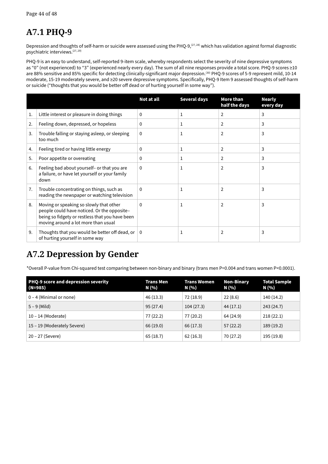### <span id="page-43-0"></span>**A7.1 PHQ-9**

Depression and thoughts of self-harm or suicide were assessed using the PHQ-9,<sup>(27, 28)</sup> which has validation against formal diagnostic psychiatric interviews.(27, 29)

PHQ-9 is an easy to understand, self-reported 9-item scale, whereby respondents select the severity of nine depressive symptoms as "0" (not experienced) to "3" (experienced nearly every day). The sum of all nine responses provide a total score. PHQ-9 scores ≥10 are 88% sensitive and 85% specific for detecting clinically-significant major depression.<sup>(30)</sup> PHQ-9 scores of 5-9 represent mild, 10-14 moderate, 15-19 moderately severe, and ≥20 severe depressive symptoms. Specifically, PHQ-9 Item 9 assessed thoughts of self-harm or suicide ("thoughts that you would be better off dead or of hurting yourself in some way").

|    |                                                                                                                                                                                  | Not at all   | Several days | <b>More than</b><br>half the days | <b>Nearly</b><br>every day |
|----|----------------------------------------------------------------------------------------------------------------------------------------------------------------------------------|--------------|--------------|-----------------------------------|----------------------------|
| 1. | Little interest or pleasure in doing things                                                                                                                                      | $\mathbf{0}$ | 1            | $\overline{2}$                    | 3                          |
| 2. | Feeling down, depressed, or hopeless                                                                                                                                             | $\mathbf{0}$ | 1            | 2                                 | 3                          |
| 3. | Trouble falling or staying asleep, or sleeping<br>too much                                                                                                                       | 0            | 1            | $\overline{2}$                    | 3                          |
| 4. | Feeling tired or having little energy                                                                                                                                            | 0            | 1            | $\overline{2}$                    | 3                          |
| 5. | Poor appetite or overeating                                                                                                                                                      | 0            | $\mathbf{1}$ | 2                                 | 3                          |
| 6. | Feeling bad about yourself- or that you are<br>a failure, or have let yourself or your family<br>down                                                                            | $\Omega$     | $\mathbf{1}$ | $\overline{2}$                    | 3                          |
| 7. | Trouble concentrating on things, such as<br>reading the newspaper or watching television                                                                                         | $\Omega$     | 1            | $\overline{2}$                    | 3                          |
| 8. | Moving or speaking so slowly that other<br>people could have noticed. Or the opposite-<br>being so fidgety or restless that you have been<br>moving around a lot more than usual | $\Omega$     | 1            | $\overline{2}$                    | 3                          |
| 9. | Thoughts that you would be better off dead, or<br>of hurting yourself in some way                                                                                                | 0            | 1            | $\overline{2}$                    | 3                          |

### **A7.2 Depression by Gender**

\*Overall P-value from Chi-squared test comparing between non-binary and binary (trans men P=0.004 and trans women P<0.0001).

| PHQ-9 score and depression severity<br>(N=985) | <b>Trans Men</b><br>N (%) | <b>Trans Women</b><br>N (%) | <b>Non-Binary</b><br>N (%) | <b>Total Sample</b><br>N (%) |
|------------------------------------------------|---------------------------|-----------------------------|----------------------------|------------------------------|
| $0 - 4$ (Minimal or none)                      | 46(13.3)                  | 72 (18.9)                   | 22(8.6)                    | 140 (14.2)                   |
| $5 - 9$ (Mild)                                 | 95(27.4)                  | 104(27.3)                   | 44(17.1)                   | 243 (24.7)                   |
| $10 - 14$ (Moderate)                           | 77 (22.2)                 | 77 (20.2)                   | 64 (24.9)                  | 218(22.1)                    |
| 15 – 19 (Moderately Severe)                    | 66 (19.0)                 | 66 (17.3)                   | 57(22.2)                   | 189(19.2)                    |
| 20 – 27 (Severe)                               | 65(18.7)                  | 62(16.3)                    | 70 (27.2)                  | 195 (19.8)                   |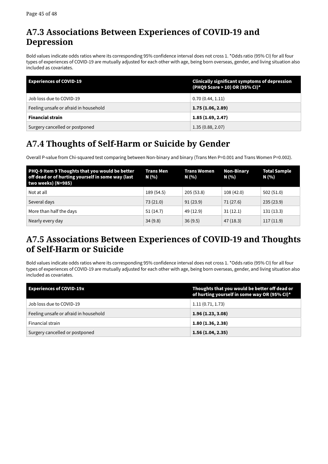### <span id="page-44-0"></span>**A7.3 Associations Between Experiences of COVID-19 and Depression**

Bold values indicate odds ratios where its corresponding 95% confidence interval does not cross 1. \*Odds ratio (95% CI) for all four types of experiences of COVID-19 are mutually adjusted for each other with age, being born overseas, gender, and living situation also included as covariates.

| <b>Experiences of COVID-19</b>        | <b>Clinically significant symptoms of depression</b><br>(PHQ9 Score > 10) OR (95% CI)* |  |
|---------------------------------------|----------------------------------------------------------------------------------------|--|
| Job loss due to COVID-19              | 0.70(0.44, 1.11)                                                                       |  |
| Feeling unsafe or afraid in household | 1.75(1.06, 2.89)                                                                       |  |
| <b>Financial strain</b>               | 1.85(1.69, 2.47)                                                                       |  |
| Surgery cancelled or postponed        | 1.35(0.88, 2.07)                                                                       |  |

### **A7.4 Thoughts of Self-Harm or Suicide by Gender**

Overall P-value from Chi-squared test comparing between Non-binary and binary (Trans Men P=0.001 and Trans Women P=0.002).

| PHQ-9 Item 9 Thoughts that you would be better<br>off dead or of hurting yourself in some way (last<br>  two weeks) (N=985) | <b>Trans Men</b><br>N (%) | <b>Trans Women</b><br>N (%) | <b>Non-Binary</b><br>N (%) | <b>Total Sample</b><br>N (%) |
|-----------------------------------------------------------------------------------------------------------------------------|---------------------------|-----------------------------|----------------------------|------------------------------|
| Not at all                                                                                                                  | 189 (54.5)                | 205(53.8)                   | 108 (42.0)                 | 502(51.0)                    |
| Several days                                                                                                                | 73(21.0)                  | 91(23.9)                    | 71(27.6)                   | 235(23.9)                    |
| More than half the days                                                                                                     | 51(14.7)                  | 49 (12.9)                   | 31(12.1)                   | 131(13.3)                    |
| Nearly every day                                                                                                            | 34(9.8)                   | 36(9.5)                     | 47(18.3)                   | 117(11.9)                    |

### **A7.5 Associations Between Experiences of COVID-19 and Thoughts of Self-Harm or Suicide**

Bold values indicate odds ratios where its corresponding 95% confidence interval does not cross 1. \*Odds ratio (95% CI) for all four types of experiences of COVID-19 are mutually adjusted for each other with age, being born overseas, gender, and living situation also included as covariates.

| <b>Experiences of COVID-19x</b>       | Thoughts that you would be better off dead or<br>of hurting yourself in some way OR (95% CI)* |
|---------------------------------------|-----------------------------------------------------------------------------------------------|
| Job loss due to COVID-19              | 1.11(0.71, 1.73)                                                                              |
| Feeling unsafe or afraid in household | 1.96(1.23, 3.08)                                                                              |
| Financial strain                      | 1.80(1.36, 2.38)                                                                              |
| Surgery cancelled or postponed        | 1.56(1.04, 2.35)                                                                              |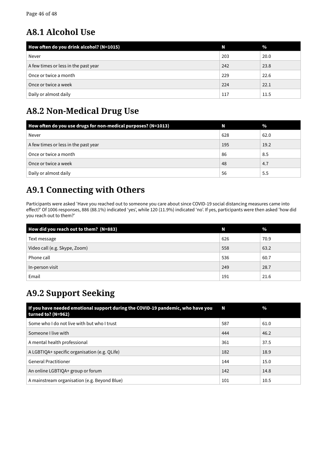### <span id="page-45-0"></span>**A8.1 Alcohol Use**

| How often do you drink alcohol? (N=1015) | Ν   | $\frac{0}{0}$ |
|------------------------------------------|-----|---------------|
| Never                                    | 203 | 20.0          |
| A few times or less in the past year     | 242 | 23.8          |
| Once or twice a month                    | 229 | 22.6          |
| Once or twice a week                     | 224 | 22.1          |
| Daily or almost daily                    | 117 | 11.5          |

### **A8.2 Non-Medical Drug Use**

| How often do you use drugs for non-medical purposes? (N=1013) | N   | $\frac{0}{0}$ |
|---------------------------------------------------------------|-----|---------------|
| Never                                                         | 628 | 62.0          |
| A few times or less in the past year                          | 195 | 19.2          |
| Once or twice a month                                         | 86  | 8.5           |
| Once or twice a week                                          | 48  | 4.7           |
| Daily or almost daily                                         | 56  | 5.5           |

### **A9.1 Connecting with Others**

Participants were asked 'Have you reached out to someone you care about since COVID-19 social distancing measures came into effect?' Of 1006 responses, 886 (88.1%) indicated 'yes', while 120 (11.9%) indicated 'no'. If yes, participants were then asked 'how did you reach out to them?'

| How did you reach out to them? (N=883) | Ν   | $\frac{0}{0}$ |
|----------------------------------------|-----|---------------|
| Text message                           | 626 | 70.9          |
| Video call (e.g. Skype, Zoom)          | 558 | 63.2          |
| Phone call                             | 536 | 60.7          |
| In-person visit                        | 249 | 28.7          |
| Email                                  | 191 | 21.6          |

### **A9.2 Support Seeking**

| If you have needed emotional support during the COVID-19 pandemic, who have you<br>turned to? (N=962) | N   | $\%$ |
|-------------------------------------------------------------------------------------------------------|-----|------|
| Some who I do not live with but who I trust                                                           | 587 | 61.0 |
| Someone I live with                                                                                   | 444 | 46.2 |
| A mental health professional                                                                          | 361 | 37.5 |
| A LGBTIQA+ specific organisation (e.g. QLife)                                                         | 182 | 18.9 |
| <b>General Practitioner</b>                                                                           | 144 | 15.0 |
| An online LGBTIQA+ group or forum                                                                     | 142 | 14.8 |
| A mainstream organisation (e.g. Beyond Blue)                                                          | 101 | 10.5 |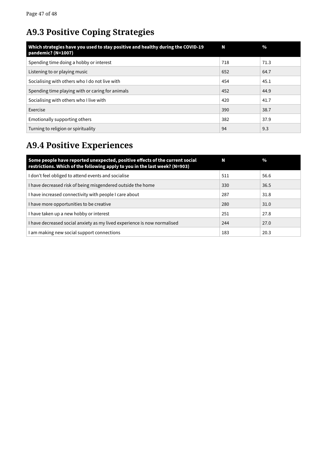### <span id="page-46-0"></span>**A9.3 Positive Coping Strategies**

| Which strategies have you used to stay positive and healthy during the COVID-19<br>pandemic? (N=1007) | N   | $\frac{0}{0}$ |
|-------------------------------------------------------------------------------------------------------|-----|---------------|
| Spending time doing a hobby or interest                                                               | 718 | 71.3          |
| Listening to or playing music                                                                         | 652 | 64.7          |
| Socialising with others who I do not live with                                                        | 454 | 45.1          |
| Spending time playing with or caring for animals                                                      | 452 | 44.9          |
| Socialising with others who I live with                                                               | 420 | 41.7          |
| Exercise                                                                                              | 390 | 38.7          |
| Emotionally supporting others                                                                         | 382 | 37.9          |
| Turning to religion or spirituality                                                                   | 94  | 9.3           |

### **A9.4 Positive Experiences**

| Some people have reported unexpected, positive effects of the current social<br>restrictions. Which of the following apply to you in the last week? (N=903) | N   | $\%$ |
|-------------------------------------------------------------------------------------------------------------------------------------------------------------|-----|------|
| I don't feel obliged to attend events and socialise                                                                                                         | 511 | 56.6 |
| I have decreased risk of being misgendered outside the home                                                                                                 | 330 | 36.5 |
| I have increased connectivity with people I care about                                                                                                      | 287 | 31.8 |
| I have more opportunities to be creative                                                                                                                    | 280 | 31.0 |
| I have taken up a new hobby or interest                                                                                                                     | 251 | 27.8 |
| I have decreased social anxiety as my lived experience is now normalised                                                                                    | 244 | 27.0 |
| I am making new social support connections                                                                                                                  | 183 | 20.3 |